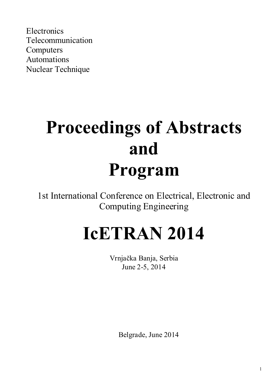**Electronics** Telecommunication Computers Automations Nuclear Technique

# **Proceedings of Abstracts and Program**

1st International Conference on Electrical, Electronic and Computing Engineering

# **IcETRAN 2014**

Vrnjačka Banja, Serbia June 2-5, 2014

Belgrade, June 2014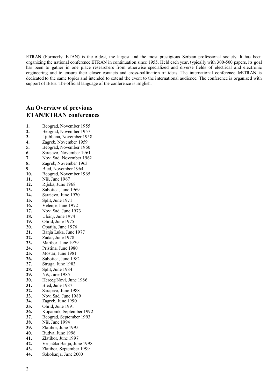ETRAN (Formerly: ETAN) is the oldest, the largest and the most prestigious Serbian professional society. It has been organizing the national conference ETRAN in continuation since 1955. Held each year, typically with 300-500 papers, its goal has been to gather in one place researchers from otherwise specialized and diverse fields of electrical and electronic engineering and to ensure their closer contacts and cross-pollination of ideas. The international conference IcETRAN is dedicated to the same topics and intended to extend the event to the international audience. The conference is organized with support of IEEE. The official language of the conference is English.

# **An Overview of previous ETAN/ETRAN conferences**

1. Beograd, November 1955<br> **2.** Beograd, November 1957 2. Beograd, November 1957<br>3. Ljubljana, November 1958 **3.** Ljubljana, November 1958 **4.** Zagreb, November 1959 **5.** Beograd, November 1960<br>**6.** Sarajevo, November 1961 **6.** Sarajevo, November 1961<br>**7.** Novi Sad, November 1962 **7.** Novi Sad, November 1962<br>**8. Zagreb** November 1963 8. Zagreb, November 1963<br>**9.** Bled November 1964 **9.** Bled, November 1964 **10.** Beograd, November 1965<br>**11.** Niš. June 1967 **11.** Niš, June 1967 **12.** Rijeka, June 1968 **13.** Subotica, June 1969 **14.** Sarajevo, June 1970 **15.** Split, June 1971 **16.** Velenje, June 1972 **17.** Novi Sad, June 1973<br>**18.** Ulcini, June 1974 **18.** Ulcinj, June 1974<br>**19.** Ohrid, June 1975 **19.** Ohrid, June 1975<br>**20.** Opatija, June 197 20. Opatija, June 1976<br>21. Bania Luka, June 1 **21.** Banja Luka, June 1977 **22.** Zadar, June 1978 **23.** Maribor, June 1979 **24.** Priština, June 1980 **25.** Mostar, June 1981 **26.** Subotica, June 1982 **27.** Struga, June 1983<br>**28.** Split. June 1984 **28.** Split, June 1984 **29.** Niš, June 1985<br>**30.** Herceg Novi, J **30.** Herceg Novi, June 1986 **31.** Bled, June 1987 **32.** Sarajevo, June 1988<br>**33.** Novi Sad, June 1989 **33.** Novi Sad, June 1989<br>**34.** Zagreb, June 1990 **34.** Zagreb, June 1990<br>**35.** Ohrid, June 1991 **35.** Ohrid, June 1991 36. Kopaonik, September 1992<br>37. Beograd, September 1993 **37.** Beograd, September 1993<br>**38.** Niš. June 1994 **38.** Niš, June 1994 **39.** Zlatibor, June 1995<br>**40.** Budva, June 1996 **40.** Budva, June 1996 **41.** Zlatibor, June 1997 **42.** Vrnjačka Banja, June 1998 **43.** Zlatibor, September 1999 **44.** Sokobanja, June 2000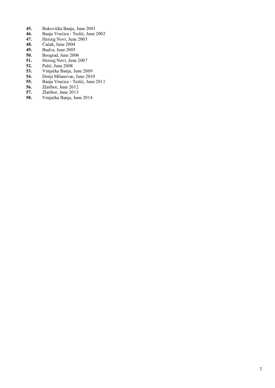- **45.** Bukovička Banja, June 2001
- **46.** Banja Vrućica Teslić, June 2002
- **47.** Herceg Novi, June 2003
- **48.** Čačak, June 2004
- **49.** Budva, June 2005
- 50. Beograd, June 2006<br>51. Herceg Novi, June 2
- **51.** Herceg Novi, June 2007<br>**52.** Palić, June 2008
- **52.** Palić, June 2008
- **53.** Vrnjačka Banja, June 2009
- 54. Donji Milanovac, June 2010<br>**55.** Banja Vrućica Teslić, June
- **55.** Banja Vrućica Teslić, June 2011
- **56.** Zlatibor, June 2012<br>**57.** Zlatibor, June 2013
- 57. Zlatibor, June 2013<br>58. Vrnjačka Banja, Jun
- **58.** Vrnjačka Banja, June 2014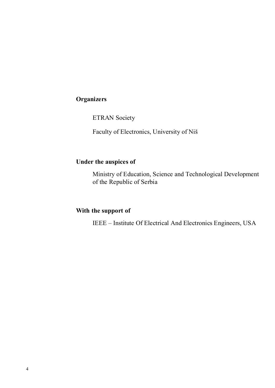# **Organizers**

ETRAN Society

Faculty of Electronics, University of Niš

# **Under the auspices of**

Ministry of Education, Science and Technological Development of the Republic of Serbia

# **With the support of**

IEEE – Institute Of Electrical And Electronics Engineers, USA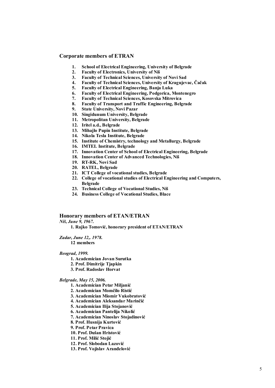# **Corporate members of ETRAN**

- **1. School of Electrical Engineering, University of Belgrade**
- **2. Faculty of Electronics, University of Niš**
- **3. Faculty of Technical Sciences, University of Novi Sad**
- **4. Faculty of Technical Sciences, University of Kragujevac, Čačak**
- **5. Faculty of Electrical Engineering, Banja Luka**
- **6. Faculty of Electrical Engineering, Podgorica, Montenegro**
- **7. Faculty of Technical Sciences, Kosovska Mitrovica**
- **8. Faculty of Transport and Traffic Engineering, Belgrade**
- **9. State University, Novi Pazar**
- **10. Singidunum University, Belgrade**
- **11. Metropolitan University, Belgrade**
- **12. Iritel a.d., Belgrade**
- **13. Mihajlo Pupin Institute, Belgrade**
- **14. Nikola Tesla Institute, Belgrade**
- **15. Institute of Chemistry, technology and Metallurgy, Belgrade**
- **16. IMTEL Institute, Belgrade**
- **17. Innovation Center of School of Electrical Engineering, Belgrade**
- **18. Innovation Center of Advanced Technologies, Niš**
- **19. RT-RK, Novi Sad**
- **20. RATEL, Belgrade**
- **21. ICT College of vocational studies, Belgrade**
- **22. College of vocational studies of Electrical Engineering and Computers, Belgrade**
- **23. Technical College of Vocational Studies, Niš**
- **24. Business College of Vocational Studies, Blace**

# **Honorary members of ETAN/ETRAN**

*Niš, June 9, 1967.*

 **1. Rajko Tomović, honorary president of ETAN/ETRAN** 

# *Zadar, June 12,. 1978.*

 **12 members** 

#### *Beograd, 1999.*

- **1. Academician Jovan Surutka**
- **2. Prof. Dimitrije Tjapkin**
- **3. Prof. Radoslav Horvat**

#### *Belgrade, May 15, 2006.*

- **1. Academician Petar Miljanić**
- **2. Academician Momčilo Ristić**
- **3. Academician Miomir Vukobratović**
- **4. Academician Aleksandar Marinčić**
- **5. Academician Ilija Stojanović**
- **6. Academician Pantelija Nikolić**
- **7. Academician Ninoslav Stojadinović**
- **8. Prof. Husnija Kurtović**
- **9. Prof. Petar Pravica**
- **10. Prof. Dušan Hristović**
- **11. Prof. Milić Stojić**
- **12. Prof. Slobodan Lazović**
- **13. Prof. Vojislav Aranđelović**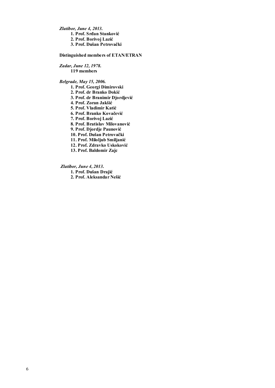*Zlatibor, June 4, 2013.*

 **1. Prof. Srđan Stanković** 

 **2. Prof. Borivoj Lazić** 

 **3. Prof. Dušan Petrovački** 

### **Distinguished members of ETAN/ETRAN**

*Zadar, June 12, 1978.*  **119 members** 

# *Belgrade, May 15, 2006.*

- **1. Prof. Georgi Dimirovski**
- **2. Prof. dr Branko Dokić**
- **3. Prof. dr Branimir Djordjević**
- **4. Prof. Zoran Jakšić**
- **5. Prof. Vladimir Katić**
- **6. Prof. Branko Kovačević**
- **7. Prof. Borivoj Lazić**
- **8. Prof. Bratislav Milovanović**
- **9. Prof. Djordje Paunović**
- **10. Prof. Dušan Petrovački**
- **11. Prof. Miloljub Smiljanić**
- **12. Prof. Zdravko Uskoković**
- **13. Prof. Baldomir Zajc**

#### *Zlatibor, June 4, 2013.*

- **1. Prof. Dušan Drajić**
- **2. Prof. Aleksandar Nešić**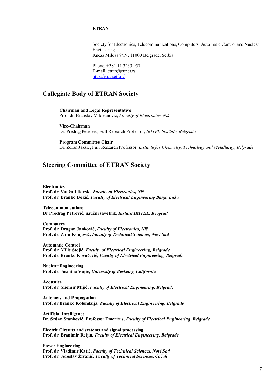# **ETRAN**

Society for Electronics, Telecommunications, Computers, Automatic Control and Nuclear Engineering Kneza Miloša 9/IV, 11000 Belgrade, Serbia

Phone. +381 11 3233 957 E-mail: etran@eunet.rs http://etran.etf.rs/

# **Collegiate Body of ETRAN Society**

**Chairman and Legal Representative** Prof. dr. Bratislav Milovanović, *Faculty of Electronics, Niš*

**Vice-Chairman** Dr. Predrag Petrović, Full Research Professor, *IRITEL Institute, Belgrade*

**Program Committee Chair** Dr. Zoran Jakšić, Full Research Professor, *Institute for Chemistry, Technology and Metallurgy, Belgrade*

# **Steering Committee of ETRAN Society**

**Electronics Prof. dr. Vančo Litovski,** *Faculty of Electronics, Niš*  **Prof. dr. Branko Dokić***, Faculty of Electrical Engineering Banja Luka* 

**Telecommunications Dr Predrag Petrović, naučni savetnik,** *Institut IRITEL, Beograd* 

**Computers Prof. dr. Dragan Janković,** *Faculty of Electronics, Niš* **Prof. dr. Zora Konjović,** *Faculty of Technical Sciences, Novi Sad* 

**Automatic Control Prof. dr. Milić Stojić,** *Faculty of Electrical Engineering, Belgrade* **Prof. dr. Branko Kovačević,** *Faculty of Electrical Engineering, Belgrade* 

**Nuclear Engineering Prof. dr. Jasmina Vujić,** *University of Berkeley, California* 

**Acoustics Prof. dr. Miomir Mijić,** *Faculty of Electrical Engineering, Belgrade* 

**Antennas and Propagation Prof. dr Branko Kolundžija,** *Faculty of Electrical Engineering, Belgrade* 

**Artificial Intelligence Dr. Srđan Stanković, Professor Emeritus,** *Faculty of Electrical Engineering, Belgrade* 

**Electric Circuits and systems and signal processing Prof. dr. Branimir Reljin,** *Faculty of Electrical Engineering, Belgrade* 

**Power Engineering Prof. dr. Vladimir Katić,** *Faculty of Technical Sciences, Novi Sad*  **Prof. dr. Jeroslav Živanić***, Faculty of Technical Sciences, Čačak*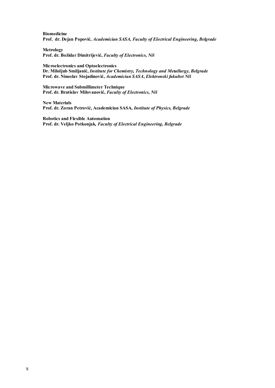**Biomedicine Prof. dr. Dejan Popović***, Academician SASA, Faculty of Electrical Engineering, Belgrade* 

**Metrology Prof. dr. Božidar Dimitrijević,** *Faculty of Electronics, Niš* 

**Microelectronics and Optoelectronics Dr. Miloljub Smiljanić,** *Institute for Chemistry, Technology and Metallurgy, Belgrade*  **Prof. dr. Ninoslav Stojadinović,** *Academician SASA***,** *Elektronski fakultet Niš* 

**Microwave and Submillimeter Technique Prof. dr. Bratislav Milovanović,** *Faculty of Electronics, Niš* 

**New Materials Prof. dr. Zoran Petrović, Academician SASA***, Institute of Physics, Belgrade* 

**Robotics and Flexible Automation Prof. dr. Veljko Potkonjak***, Faculty of Electrical Engineering, Belgrade*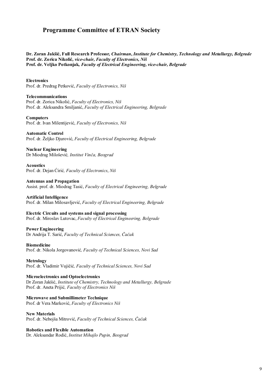# **Programme Committee of ETRAN Society**

**Dr. Zoran Jakšić, Full Research Professor***, Chairman***,** *Institute for Chemistry, Technology and Metallurgy, Belgrade*  **Prof. dr. Zorica Nikolić***, vice-chair, Faculty of Electronics, Niš*  **Prof. dr. Veljko Potkonjak***, Faculty of Electrical Engineering, vice-chair, Belgrade* 

**Electronics** 

Prof. dr. Predrag Petković, *Faculty of Electronics, Niš* 

**Telecommunications**  Prof. dr. Zorica Nikolić, *Faculty of Electronics, Niš*  Prof. dr. Aleksandra Smiljanić, *Faculty of Electrical Engineering, Belgrade*

**Computers**  Prof. dr. Ivan Milentijević, *Faculty of Electronics, Niš* 

**Automatic Control**  Prof. dr. Željko Djurović, *Faculty of Electrical Engineering, Belgrade* 

**Nuclear Engineering**  Dr Miodrag Milošević*, Institut Vinča, Beograd* 

**Acoustics**  Prof. dr. Dejan Ćirić*, Faculty of Electronics*, *Niš* 

**Antennas and Propagation**  Assist. prof. dr. Miodrag Tasić, *Faculty of Electrical Engineering, Belgrade* 

**Artificial Intelligence**  Prof. dr. Milan Milosavljević, *Faculty of Electrical Engineering, Belgrade* 

**Electric Circuits and systems and signal processing**  Prof. dr. Miroslav Lutovac, *Faculty of Electrical Engineering, Belgrade* 

**Power Engineering** 

Dr Andrija T. Sarić, *Faculty of Technical Sciences, Čačak* 

**Biomedicine** 

Prof. dr. Nikola Jorgovanović*, Faculty of Technical Sciences, Novi Sad* 

**Metrology** 

Prof. dr. Vladimir Vujičić*, Faculty of Technical Sciences, Novi Sad* 

**Microelectronics and Optoelectronics**  Dr Zoran Jakšić, *Institute of Chemistry, Technology and Metallurgy, Belgrade* Prof. dr. Aneta Prijić*, Faculty of Electronics Niš* 

**Microwave and Submillimeter Technique**  Prof. dr Vera Marković, *Faculty of Electronics Niš* 

**New Materials**  Prof. dr. Nebojša Mitrović, *Faculty of Technical Sciences, Čačak* 

**Robotics and Flexible Automation** 

Dr. Aleksandar Rodić, *Institut Mihajlo Pupin, Beograd*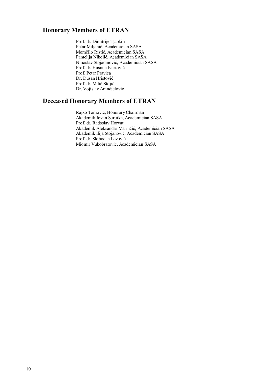# **Honorary Members of ETRAN**

Prof. dr. Dimitrije Tjapkin Petar Miljanić, Academician SASA Momčilo Ristić, Academician SASA Pantelija Nikolić, Academician SASA Ninoslav Stojadinović, Academician SASA Prof. dr. Husnija Kurtović Prof. Petar Pravica Dr. Dušan Hristović Prof. dr. Milić Stojić Dr. Vojislav Arandjelović

# **Deceased Honorary Members of ETRAN**

Rajko Tomović, Honorary Chairman Akademik Jovan Surutka, Academician SASA Prof. dr. Radoslav Horvat Akademik Aleksandar Marinčić, Academician SASA Akademik Ilija Stojanović, Academician SASA Prof. dr. Slobodan Lazović Miomir Vukobratović, Academician SASA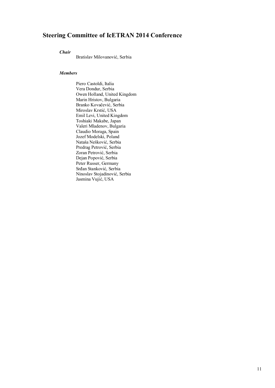# **Steering Committee of IcETRAN 2014 Conference**

*Chair*

Bratislav Milovanović, Serbia

# *Members*

Piero Castoldi, Italia Vera Dondur, Serbia Owen Holland, United Kingdom Marin Hristov, Bulgaria Branko Kovačević, Serbia Miroslav Krstić, USA Emil Levi, United Kingdom Toshiaki Makabe, Japan Valeri Mladenov, Bulgaria Claudio Moraga, Spain Jozef Modelski, Poland Nataša Nešković, Serbia Predrag Petrović, Serbia Zoran Petrović, Serbia Dejan Popović, Serbia Peter Russer, Germany Srđan Stanković, Serbia Ninoslav Stojadinović, Serbia Jasmina Vujić, USA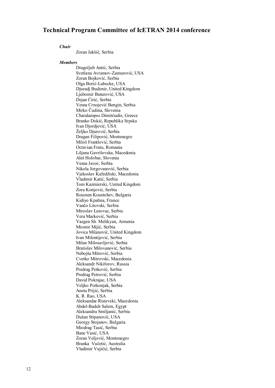# **Technical Program Committee of IcETRAN 2014 conference**

#### *Chair*

Zoran Jakšić, Serbia

#### *Members*

Dragoljub Antić, Serbia Svetlana Avramov-Zamurović, USA Zoran Bojković, Serbia Olga Borić-Lubecke, USA Djuradj Budimir, United Kingdom Ljubomir Buturović, USA Dejan Ćirić, Serbia Vesna Crnojević Bengin, Serbia Mirko Čudina, Slovenia Charalampos Dimitriadis, Greece Branko Dokić, Republika Srpska Ivan Djordjević, USA Željko Djurović, Serbia Dragan Filipović, Montenegro Miloš Frantlović, Serbia Octavian Fratu, Romania Liljana Gavrilovska, Macedonia Aleš Holobar, Slovenia Vesna Javor, Serbia Nikola Jorgovanović, Serbia Vjekoslav Kafedžiski, Macedonia Vladimir Katić, Serbia Tom Kazmierski, United Kingdom Zora Konjović, Serbia Roumen Kountchev, Bulgaria Kidiyo Kpalma, France Vančo Litovski, Serbia Miroslav Lutovac, Serbia Vera Marković, Serbia Vazgen Sh. Melikyan, Armenia Miomir Mijić, Serbia Jovica Milanović, United Kingdom Ivan Milentijević, Serbia Milan Milosavljević, Serbia Bratislav Milovanović, Serbia Nebojša Mitrović, Serbia Cvetko Mitrovski, Macedonia Aleksandr Nikiforov, Russia Predrag Petković, Serbia Predrag Petrović, Serbia David Pokrajac, USA Veljko Potkonjak, Serbia Aneta Prijić, Serbia K. R. Rao, USA Aleksandar Ristevski, Macedonia Abdel-Badeh Salem, Egypt Aleksandra Smiljanić, Serbia Dušan Stipanović, USA Georgy Stojanov, Bulgaria Miodrag Tasić, Serbia Bane Vasić, USA Zoran Veljović, Montenegro Branka Vučetić, Australia Vladimir Vujičić, Serbia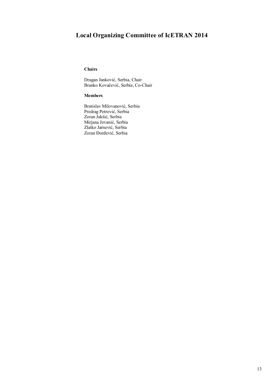# **Local Organizing Committee of IcETRAN 2014**

# **Chairs**

Dragan Janković, Serbia, Chair Branko Kovačević, Serbia, Co-Chair

# **Members**

Bratislav Milovanović, Serbia Predrag Petrović, Serbia Zoran Jakšić, Serbia Mirjana Jovanić, Serbia Zlatko Jarnević, Serbia Zoran Đorđević, Serbia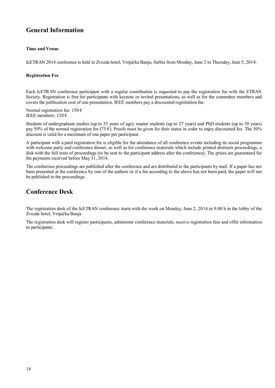# **General Information**

# **Time and Venue**

IcETRAN 2014 conference is held in Zvezda hotel, Vrnjačka Banja, Serbia from Monday, June 2 to Thursday, June 5, 2014.

# **Registration Fee**

Each IcETRAN conference participant with a regular contribution is requested to pay the registration fee with the ETRAN Society. Registration is free for participants with keynote or invited presentations, as well as for the committee members and covers the publication cost of one presentation. IEEE members pay a discounted registration fee.

Normal registration fee:  $150 \text{ } \in$ IEEE members:  $120 \text{ } \in$ 

Students of undergraduate studies (up to 35 years of age), master students (up to 27 years) and PhD students (up to 30 years) pay 50% of the normal registration fee (75  $\epsilon$ ). Proofs must be given for their status in order to enjoy discounted fee. The 50% discount is valid for a maximum of one paper per participant.

A participant with a paid registration fee is eligible for the attendance of all conference events including its social programme with welcome party and conference dinner, as well as for conference materials which include printed abstracts proceedings, a disk with the full texts of proceedings (to be sent to the participant address after the conference). The prices are guaranteed for the payments received before May 31, 2014.

The conference proceedings are published after the conference and are distributed to the participants by mail. If a paper has not been presented at the conference by one of the authors or if a fee according to the above has not been paid, the paper will not be published in the proceedings.

# **Conference Desk**

The registration desk of the IcETRAN conference starts with the work on Monday, June 2, 2014 in 9:00 h in the lobby of the Zvezda hotel, Vrnjačka Banja.

The registration desk will register participants, administer conference materials, receive registration fees and offer information to participants.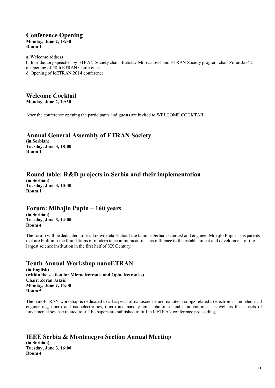# **Conference Opening Monday, June 2, 18:30 Room 1**

a. Welcome address

- b. Introductory speeches by ETRAN Society chair Bratislav Milovanović and ETRAN Soceity program chair Zoran Jakšić
- c. Opening of 58th ETRAN Conference
- d. Opening of IcETRAN 2014 conference

# **Welcome Cocktail**

**Monday, June 2, 19:30**

After the conference opening the participants and guests are invited to WELCOME COCKTAIL.

# **Annual General Assembly of ETRAN Society**

**(in Serbian) Tuesday, June 3, 18:00 Room 1**

# **Round table: R&D projects in Serbia and their implementation**

**(in Serbian) Tuesday, June 3, 10:30 Room 1**

# **Forum: Mihajlo Pupin – 160 years**

**(in Serbian) Tuesday, June 3, 14:00 Room 4**

The forum will be dedicated to less-known details about the famous Serbian scientist and engineer Mihajlo Pupin – his patents that are built into the foundations of modern telecommunications, his influence to the establishment and development of the largest science institution in the first half of XX Century.

# **Tenth Annual Workshop nanoETRAN**

**(in English) (within the section for Microelectronic and Optoelectronics) Chair: Zoran Jakšić Monday, June 2, 16:00 Room 5**

The nanoETRAN workshop is dedicated to all aspects of nanoscience and nanotechnologz related to electronics and electrical engineering, micro and nanoelectronics, micro and nanosystems, photonics and nanophotonics, as well as the aspects of fundamental science related to it. The papers are published in full in IcETRAN conference proceedings.

# **IEEE Serbia & Montenegro Section Annual Meeting**

**(in Serbian) Tuesday, June 3, 16:00 Room 4**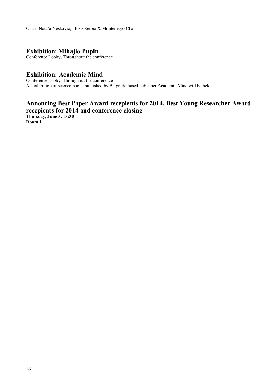Chair: Nataša Nešković, IEEE Serbia & Montenegro Chair

# **Exhibition: Mihajlo Pupin**

Conference Lobby, Throughout the conference

# **Exhibition: Academic Mind**

Conference Lobby, Throughout the conference An exhibition of science books published by Belgrade-based publisher Academic Mind will be held

# **Annoncing Best Paper Award recepients for 2014, Best Young Researcher Award recepients for 2014 and conference closing**

**Thursday, June 5, 13:30 Room 1**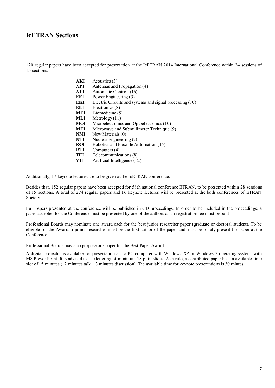# **IcETRAN Sections**

120 regular papers have been accepted for presentation at the IcETRAN 2014 International Conference within 24 sessions of 15 sections:

| Acoustics (3)                                            |
|----------------------------------------------------------|
| Antennas and Propagation (4)                             |
| Automatic Control (16)                                   |
| Power Engineering (3)                                    |
| Electric Circuits and systems and signal processing (10) |
| Electronics (8)                                          |
| Biomedicine (5)                                          |
| Metrology $(11)$                                         |
| Microelectronics and Optoelectronics (10)                |
| Microwave and Submillimeter Technique (9)                |
| New Materials (0)                                        |
| Nuclear Engineering (2)                                  |
| Robotics and Flexible Automation (16)                    |
| Computers (4)                                            |
| Telecommunications (8)                                   |
| Artificial Intelligence (12)                             |
|                                                          |

Additionally, 17 keynote lectures are to be given at the IcETRAN conference.

Besides that, 152 regular papers have been accepted for 58th national conference ETRAN, to be presented within 28 sessions of 15 sections. A total of 274 regular papers and 16 keynote lectures will be presented at the both conferences of ETRAN Society.

Full papers presented at the conference will be published in CD proceedings. In order to be included in the proceedings, a paper accepted for the Conference must be presented by one of the authors and a registration fee must be paid.

Professional Boards may nominate one award each for the best junior researcher paper (graduate or doctoral student). To be eligible for the Award, a junior researcher must be the first author of the paper and must personaly present the paper at the Conference.

Professional Boards may also propose one paper for the Best Paper Award.

A digital projector is available for presentation and a PC computer with Windows XP or Windows 7 operating system, with MS Power Point. It is advised to use lettering of minimum 18 pt in slides. As a rule, a contributed paper has an available time slot of 15 minutes (12 minutes talk + 3 minutes discussion). The available time for keynote presentations is 30 mintes.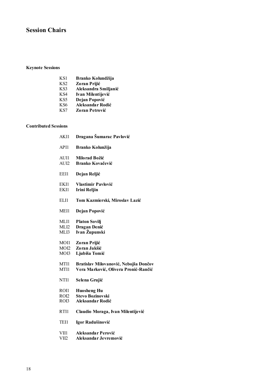# **Session Chairs**

# **Keynote Sessions**

| KS1 | Branko Kolundžija |
|-----|-------------------|
| KS2 | Zoran Prijić      |

- KS3 **Aleksandra Smiljanić**
- KS4 **Ivan Milentijević**
- KS5 **Dejan Popović**
- KS6 **Aleksandar Rodić**
- KS7 **Zoran Petrović**

# **Contributed Sessions**

| AKI1                             | Dragana Šumarac Pavlović                                                      |
|----------------------------------|-------------------------------------------------------------------------------|
| API1                             | Branko Kolunžija                                                              |
| AUI1<br>AUI2                     | Milorad Božić<br><b>Branko Kovačević</b>                                      |
| EEI1                             | Dejan Reljić                                                                  |
| EKI1<br>EKI1                     | Vlastimir Pavlović<br><b>Irini Reljin</b>                                     |
| ELI1                             | Tom Kazmierski, Miroslav Lazić                                                |
| MEI1                             | Dejan Popović                                                                 |
| MLI1<br>MLI <sub>2</sub><br>MLI3 | <b>Platon Sovilj</b><br>Dragan Denić<br>Ivan Župunski                         |
| MOI1<br>MO <sub>I2</sub><br>MOI3 | Zoran Prijić<br>Zoran Jakšić<br>Ljubiša Tomić                                 |
| MTI1<br>MTI1                     | Bratislav Milovanović, Nebojša Dončov<br>Vera Marković, Olivera Pronić-Rančić |
| NTI1                             | Selena Grujić                                                                 |
| ROI1<br>RO <sub>I2</sub><br>ROI3 | <b>Huosheng Hu</b><br><b>Stevo Bozinovski</b><br>Aleksandar Rodić             |
| RTI1                             | Claudio Moraga, Ivan Milentijević                                             |
| TEI1                             | Igor Radušinović                                                              |
| VII1<br>VII2                     | Aleksandar Perović<br>Aleksandar Jevremović                                   |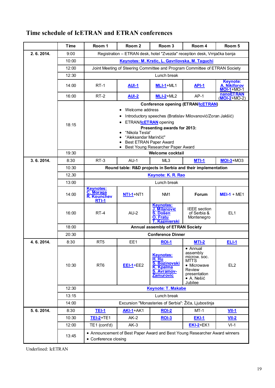|             | <b>Time</b> | Room 1                                                                                                                                                                                                                                                                                       | Room <sub>2</sub> | Room 3                                                                                            | Room 4                                                                                                         | Room 5                                                       |  |  |
|-------------|-------------|----------------------------------------------------------------------------------------------------------------------------------------------------------------------------------------------------------------------------------------------------------------------------------------------|-------------------|---------------------------------------------------------------------------------------------------|----------------------------------------------------------------------------------------------------------------|--------------------------------------------------------------|--|--|
| 2. 6. 2014. | 9:00        | Registration - ETRAN desk, hotel "Zvezda" reception desk, Vrnjačka banja                                                                                                                                                                                                                     |                   |                                                                                                   |                                                                                                                |                                                              |  |  |
|             | 10:00       | Keynotes: M. Krstic, L. Gavrilovska, M. Taguchi                                                                                                                                                                                                                                              |                   |                                                                                                   |                                                                                                                |                                                              |  |  |
|             | 12:00       | Joint Meeting of Steering Committee and Program Committee of ETRAN Society                                                                                                                                                                                                                   |                   |                                                                                                   |                                                                                                                |                                                              |  |  |
|             | 12:30       | Lunch break                                                                                                                                                                                                                                                                                  |                   |                                                                                                   |                                                                                                                |                                                              |  |  |
|             | 14:00       | $RT-1$                                                                                                                                                                                                                                                                                       | <b>AUI-1</b>      | $MLI-1+ML1$                                                                                       | <b>API-1</b>                                                                                                   | <b>Keynote:</b><br><b>A. Nikiforov</b><br>$MOI - 1 + MO - 1$ |  |  |
|             | 16:00       | RT-2                                                                                                                                                                                                                                                                                         | <b>AUI-2</b>      | $MLI-2+ML2$                                                                                       | $AP-1$                                                                                                         | <b>nanoETRAN</b><br>$(\overline{MOI-2}+MO-2)$                |  |  |
|             | 18:15       | <b>Conference opening (ETRAN/ICETRAN)</b><br>Welcome address<br>Introductory speeches (Bratislav Milovanović/Zoran Jakšić)<br>ETRAN/IcETRAN opening<br>Presenting awards for 2013:<br>"Nikola Tesla"<br>"Aleksandar Marinčić"<br>Best ETRAN Paper Award<br>Best Young Researcher Paper Award |                   |                                                                                                   |                                                                                                                |                                                              |  |  |
|             | 19:30       |                                                                                                                                                                                                                                                                                              |                   | <b>Welcome cocktail</b>                                                                           |                                                                                                                |                                                              |  |  |
| 3.6.2014.   | 8:30        | $RT-3$                                                                                                                                                                                                                                                                                       | $AU-1$            | ML3                                                                                               | MTI-1                                                                                                          | $MOI-3+MO3$                                                  |  |  |
|             | 10:30       |                                                                                                                                                                                                                                                                                              |                   |                                                                                                   | Round table: R&D projects in Serbia and their implementation                                                   |                                                              |  |  |
|             | 12,30       |                                                                                                                                                                                                                                                                                              |                   | <b>Keynote: K. R. Rao</b>                                                                         |                                                                                                                |                                                              |  |  |
|             | 13:00       | Lunch break                                                                                                                                                                                                                                                                                  |                   |                                                                                                   |                                                                                                                |                                                              |  |  |
|             | 14:00       | <b>Keynotes:</b><br>C. Moraga<br><b>R. Kounchev</b><br>$RTI-1$                                                                                                                                                                                                                               | $NTI-1+NT1$       | NM <sub>1</sub>                                                                                   | <b>Forum</b>                                                                                                   | $MEI-1 + ME1$                                                |  |  |
|             | 16:00       | RT-4                                                                                                                                                                                                                                                                                         | $AU-2$            | <b>Keynotes:</b><br>J. Milanović<br>S. Došen<br>O. Fratu<br><b>T. Kazmierski</b>                  | <b>IEEE</b> section<br>of Serbia &<br>Montenegro                                                               | EL <sub>1</sub>                                              |  |  |
|             | 18:00       | Annual assembly of ETRAN Society                                                                                                                                                                                                                                                             |                   |                                                                                                   |                                                                                                                |                                                              |  |  |
|             | 20:30       | <b>Conference Dinner</b>                                                                                                                                                                                                                                                                     |                   |                                                                                                   |                                                                                                                |                                                              |  |  |
| 4.6.2014.   | 8:30        | RT <sub>5</sub>                                                                                                                                                                                                                                                                              | EE1               | <b>ROI-1</b>                                                                                      | $MTI-2$                                                                                                        | <b>ELI-1</b>                                                 |  |  |
|             | 10:30       | RT <sub>6</sub>                                                                                                                                                                                                                                                                              | $EEI-1+EE2$       | <b>Keynotes:</b><br>H. Hu<br><b>S. Bozinovski</b><br>K. Kpalma<br>S. Avramov-<br><b>Zamurovic</b> | • Annual<br>assembly<br>microw. soc.<br>MTTS<br>• Microwave<br>Review<br>presentation<br>· A. Nešić<br>Jubilee | EL <sub>2</sub>                                              |  |  |
|             | 12:30       | <b>Keynote: T. Makabe</b>                                                                                                                                                                                                                                                                    |                   |                                                                                                   |                                                                                                                |                                                              |  |  |
|             | 13:15       |                                                                                                                                                                                                                                                                                              |                   | Lunch break                                                                                       |                                                                                                                |                                                              |  |  |
|             | 14:00       |                                                                                                                                                                                                                                                                                              |                   | Excursion "Monasteries of Serbia": Žiča, Ljubostinja                                              |                                                                                                                |                                                              |  |  |
| 5.6.2014.   | 8:30        | <b>TEI-1</b>                                                                                                                                                                                                                                                                                 | <b>AKI-1+AK1</b>  | <b>ROI-2</b>                                                                                      | $MT-1$                                                                                                         | $VII-1$                                                      |  |  |
|             | 10:30       | <b>TEI-2+TE1</b>                                                                                                                                                                                                                                                                             | $AK-2$            | <b>ROI-3</b>                                                                                      | <b>EKI-1</b>                                                                                                   | $VII-2$                                                      |  |  |
|             | 12:00       | TE1 (cont'd)                                                                                                                                                                                                                                                                                 | $AK-3$            |                                                                                                   | $EXI-2+EK1$                                                                                                    | $VI-1$                                                       |  |  |
|             | 13:45       | • Announcement of Best Paper Award and Best Young Researcher Award winners<br>• Conference closing                                                                                                                                                                                           |                   |                                                                                                   |                                                                                                                |                                                              |  |  |

# **Time schedule of IcETRAN and ETRAN conferences**

Underlined: IcETRAN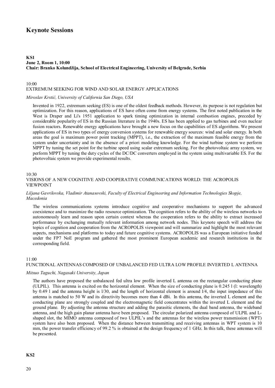# **Keynote Sessions**

#### **KS1 June 2, Room 1, 10:00 Chair: Branko Kolundžija, School of Electrical Engineering, University of Belgrade, Serbia**

#### 10:00

#### EXTREMUM SEEKING FOR WIND AND SOLAR ENERGY APPLICATIONS

### *Miroslav Krstić, University of California San Diego , USA*

Invented in 1922, extremum seeking (ES) is one of the oldest feedback methods. However, its purpose is not regulation but optimization. For this reason, applications of ES have often come from energy systems. The first noted publication in the West is Draper and Li's 1951 application to spark timing optimization in internal combustion engines, preceded by considerable popularity of ES in the Russian literature in the 1940s. ES has been applied to gas turbines and even nuclear fusion reactors. Renewable energy applications have brought a new focus on the capabilities of ES algorithms. We present applications of ES in two types of energy conversion systems for renewable energy sources: wind and solar energy. In both areas the goal is maximum power point tracking (MPPT), i.e., the extraction of the maximum feasible energy from the system under uncertainty and in the absence of a priori modeling knowledge. For the wind turbine system we perform MPPT by tuning the set point for the turbine speed using scalar extremum seeking. For the photovoltaic array system, we perform MPPT by tuning the duty cycles of the DC/DC converters employed in the system using multivariable ES. For the photovoltaic system we provide experimental results.

#### 10:30

# VISIONS OF A NEW COGNITIVE AND COOPERATIVE COMMUNICATIONS WORLD: THE ACROPOLIS VIEWPOINT

# *Liljana Gavrilovska, Vladimir Atanasovski, Faculty of Electrical Engineering and Information Technologies Skopje, Macedonia*

The wireless communications systems introduce cognitive and cooperative mechanisms to support the advanced coexistence and to maximize the radio resource optimization. The cognition refers to the ability of the wireless networks to autonomously learn and reason upon certain context whereas the cooperation refers to the ability to extract increased performance by exchanging mutually relevant information among network nodes. This keynote speech will address the topics of cognition and cooperation from the ACROPOLIS viewpoint and will summarize and highlight the most relevant aspects, mechanisms and platforms to today and future cognitive systems. ACROPOLIS was a European initiative funded under the FP7 NoE program and gathered the most prominent European academic and research institutions in the corresponding field.

# 11:00

# FUNCTIONAL ANTENNAS COMPOSED OF UNBALANCED FED ULTRA LOW PROFILE INVERTED L ANTENNA

#### *Mitsuo Taguchi, Nagasaki University, Japan*

The authors have proposed the unbalanced fed ultra low profile inverted L antenna on the rectangular conducting plane (ULPIL). This antenna is excited on the horizontal element. When the size of conducting plane is 0.245 l (l: wavelength) by 0.49 l and the antenna height is l/30, and the length of horizontal element is around l/4, the input impedance of this antenna is matched to 50 W and its directivity becomes more than 4 dBi. In this antenna, the inverted L element and the conducting plane are strongly coupled and the electromagnetic field concentrates within the inverted L element and the ground plane. By adjusting the antenna structure and adding the parasitic elements, the dual band antenna, the wideband antenna, and the high gain planar antenna have been proposed. The circular polarized antenna composed of ULPIL and Lshaped slot, the MIMO antenna composed of two ULPIL's and the antennas for the wireless power transmission (WPT) system have also been proposed. When the distance between transmitting and receiving antennas in WPT system is 10 mm, the power transfer efficiency of 99.2 % is obtained at the design frequency of 1 GHz. In this talk, these antennas will be presented.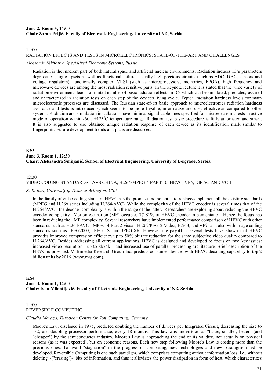# **June 2, Room 5, 14:00 Chair Zoran Prijić, Faculty of Electronic Engineering, University of Niš, Serbia**

 $14:00$ 

### RADIATION EFFECTS AND TESTS IN MICROELECTRONICS: STATE-OF-THE-ART AND CHALLENGES

#### *Aleksandr Nikiforov, Specialized Electronic Systems, Russia*

Radiation is the inherent part of both natural space and artificial nuclear environments. Radiation induces IC's parameters degradation, logic upsets as well as functional failure. Usually high precious circuits (such as ADC, DAC, sensors and voltage regulators), functionally complex VLSI (such as microprocessors, memories, FPGA), high frequency and microwave devices are among the most radiation sensitive parts. In the keynote lecture it is stated that the wide variety of radiation environments leads to limited number of basic radiation effects in ICs which can be simulated, predicted, assured and characterized in radiation tests on each step of the devices living cycle. Typical radiation hardness levels for main microelectronic processes are discussed. The Russian state-of-art basic approach to microelectronics radiation hardness assurance and tests is introduced which seems to be more flexible, informative and cost effective as compared to other systems. Radiation and simulation installations have minimal signal cable lines specified for microelectronic tests in active mode of operation within  $-60...+125^{\circ}$ C temperature range. Radiation test basic procedure is fully automated and smart. It is also suggested to use obtained unique radiation response of each device as its identification mark similar to fingerprints. Future development trends and plans are discussed.

# **KS3 June 3, Room 1, 12:30 Chair: Aleksandra Smiljanić, School of Electrical Engineering, University of Belgrade, Serbia**

# 12:30

# VIDEO CODING STANDARDS: AVS CHINA, H.264/MPEG-4 PART 10, HEVC, VP6, DIRAC AND VC-1

#### *K. R. Rao, University of Texas at Arlington, USA*

In the family of video coding standard HEVC has the promise and potential to replace/supplement all the existing standards (MPEG and H.26x series including H.264/AVC). While the complexity of the HEVC encoder is several times that of the H.264/AVC , the decoder complexity is within the range of the latter. Researchers are exploring about reducing the HEVC encoder complexity. Motion estimation (ME) occupies 77-81% of HEVC encoder implementation. Hence the focus has been in reducing the ME complexity .Several researchers have implemented performance comparison of HEVC with other standards such as H.264/AVC , MPEG-4 Part 2 visual, H.262/PEG-2 Video, H.263, and VP9 and also with image coding standards such as JPEG2000, JPEG-LS, and JPEG-XR. However the payoff is several tests have shown that HEVC provides improved compression efficiency up to 50% bit rate reduction for the same subjective video quality compared to H.264/AVC. Besides addressing all current applications, HEVC is designed and developed to focus on two key issues: increased video resolution - up to 8kx4k – and increased use of parallel processing architecture. Brief description of the HEVC is provided. Multimedia Research Group Inc. predicts consumer devices with HEVC decoding capability to top 2 billion units by 2016 (www.mrg.com).

# **KS4 June 3, Room 1, 14:00 Chair: Ivan Milentijević, Faculty of Electronic Engineering, University of Niš, Serbia**

# 14:00 REVERSIBLE COMPUTING

#### *Claudio Moraga, European Centre for Soft Computing, Germany*

Moore's Law, disclosed in 1975, predicted doubling the number of devices per Integrated Circuit, decreasing the size to 1/2, and doubling processor performance, every 18 months. This law was understood as "faster, smaller, better" (and "cheaper") by the semiconductor industry. Moore's Law is approaching the end of its validity, not actually on physical reasons (as it was expected), but on economic reasons. Each new step following Moore's Law is costing more than the previous ones. To avoid "stagnation" in the progress of computing, new technologies and new paradigms must be developed. Reversible Computing is one such paradigm, which comprises computing without information loss, i.e., without deleting -("erasing")- bits of information, and thus it alleviates the power dissipation in form of heat, which characterizes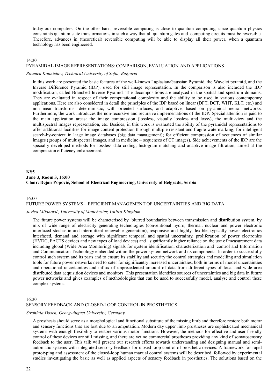today our computers. On the other hand, reversible computing is close to quantum computing, since quantum physics constraints quantum state transformations in such a way that all quantum gates and computing circuits must be reversible. Therefore, advances in (theoretical) reversible computing will be able to display all their power, when a quantum technology has been engineered.

#### 14:30

#### PYRAMIDAL IMAGE REPRESENTATIONS: COMPARISON, EVALUATION AND APPLICATIONS

#### *Roumen Kountchev, Technical University of Sofia, Bulgaria*

In this work are presented the basic features of the well-known Laplasian/Gaussian Pyramid, the Wavelet pyramid, and the Inverse Difference Pyramid (IDP), used for still image representation. In the comparison is also included the IDP modification, called Branched Inverse Pyramid. The decompositions are analyzed in the spatial and spectrum domains. They are evaluated in respect of their computational complexity and the ability to be used in various contemporary applications. Here are also considered in detail the principles of the IDP based on linear (DFT, DCT, WHT, KLT, etc.) and non-linear transforms: deterministic, with oriented surfaces, and adaptive, based on pyramidal neural networks. Furthermore, the work introduces the non-recursive and recursive implementations of the IDP. Special attention is paid to the main application areas: the image compression (lossless, visually lossless and lossy), the multi-view and the multispectral images representation, etc. Besides, in this work is evaluated the ability of the pyramidal representations to offer additional facilities for image content protection through multiple resistant and fragile watermarking; for intelligent search-by-content in large image databases (big data management); for efficient compression of sequences of similar images (groups of multispectral images, and in medicine – sequences of CT images). Side achievements of the IDP are the specially developed methods for lossless data coding, histogram matching and adaptive image filtration, aimed at the compression efficiency enhancement.

# **KS5 June 3, Room 3, 16:00 Chair: Dejan Popović, School of Electrical Engineering, University of Belgrade, Serbia**

#### 16:00 FUTURE POWER SYSTEMS – EFFICIENT MANAGEMENT OF UNCERTAINTIES AND BIG DATA

#### *Jovica Milanović, University of Manchester, United Kingdom*

The future power systems will be characterised by blurred boundaries between transmission and distribution system, by mix of wide range of electricity generating technologies (conventional hydro, thermal, nuclear and power electronic interfaced stochastic and intermittent renewable generation), responsive and highly flexible, typically power electronics interfaced, demand and storage with significant temporal and spatial uncertainty, proliferation of power electronics (HVDC, FACTS devices and new types of load devices) and significantly higher reliance on the use of measurement data including global (Wide Area Monitoring) signals for system identification, characterization and control and Information and Communication Technology embedded within the power system network and its components. In order to successfully control such system and its parts and to ensure its stability and security the control strategies and modelling and simulation tools for future power networks need to cater for significantly increased uncertainties, both in terms of model uncertainties and operational uncertainties and influx of unprecedented amount of data from different types of local and wide area distributed data acquisition devices and monitors. This presentation identifies sources of uncertainties and big data in future power networks and gives examples of methodologies that can be used to successfully model, analyse and control these complex systems.

#### 16:30

#### SENSORY FEEDBACK AND CLOSED-LOOP CONTROL IN PROSTHETICS

#### *Strahinja Dosen, Georg-August University, Germany*

A prosthesis should serve as a morphological and functional substitute of the missing limb and therefore restore both motor and sensory functions that are lost due to an amputation. Modern day upper limb prostheses are sophisticated mechanical systems with enough flexibility to restore various motor functions. However, the methods for effective and user friendly control of these devices are still missing, and there are yet no commercial prostheses providing any kind of somatosensory feedback to the user. This talk will present our research efforts towards understanding and designing manual and semiautomatic systems with integrated sensory feedback for closed-loop control of prosthetic devices. A framework for rapid prototyping and assessment of the closed-loop human manual control systems will be described, followed by experimental studies investigating the basic as well as applied aspects of sensory feedback in prosthetics. The solutions based on the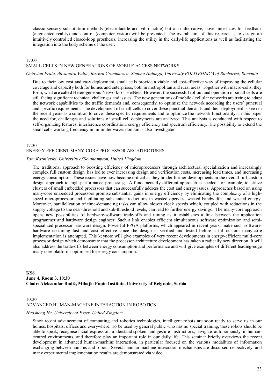classic sensory substitution methods (electrotactile and vibrotactile) but also alternative, novel interfaces for feedback (augmented reality) and control (computer vision) will be presented. The overall aim of this research is to design an intuitively controlled closed-loop prosthesis, increasing the utility in the daily-life applications as well as facilitating the integration into the body scheme of the user.

# 17:00 SMALL CELLS IN NEW GENERATIONS OF MOBILE ACCESS NETWORKS

#### *Octavian Fratu, Alexandru Vulpe, Razvan Craciunescu, Simona Halunga, University POLITEHNICA of Bucharest, Romania*

Due to their low cost and easy deployment, small cells provide a viable and cost-effective way of improving the cellular coverage and capacity both for homes and enterprises, both in metropolitan and rural areas. Together with macro-cells, they form, what are called Heterogeneous Networks or HetNets. However, the successful rollout and operation of small cells are still facing significant technical challenges and issues. The new generations of mobile / cellular networks are trying to adapt the network capabilities to the traffic demands and, consequently, to optimize the network according the users' punctual and specific requirements. The development of small cells to cover these punctual demands and their deployment is seen in the recent years as a solution to cover these specific requirements and to optimize the network functionality. In this paper the need for, challenges and solutions of small cell deployments are analyzed. This analysis is conducted with respect to self-organizing features, interference coordination, energy efficiency and spectrum efficiency. The possibility to extend the small cells working frequency in milimiter waves domain is also investigated.

#### $17.30$

# ENERGY EFFICIENT MANY-CORE PROCESSOR ARCHITECTURES

#### *Tom Kazmierski, University of Southampton, United Kingdom*

The traditional approach to boosting efficiency of microprocessors through architectural specialization and increasingly complex full custom design has led to ever increasing design and verification costs, increasing lead times, and increasing energy consumption. These issues have now become critical as they hinder further developments in the overall full-custom design approach to high-performance processing. A fundamentally different approach is needed, for example, to utilize clusters of small embedded processors that can successfully address the cost and energy issues. Approaches based on using many-core embedded processors promise substantial gains in energy efficiency by eliminating the complexity of a highspeed microprocessor and facilitating substantial reductions in wasted opcodes, wasted bandwidth, and wasted energy. Moreover, parallelization of time-demanding tasks can allow slower clock speeds which, coupled with reductions in the supply voltage to the near-threshold and sub-threshold levels, can lead to further energy savings. The many-core approach opens new possibilities of hardware-software trade-offs and tuning as it establishes a link between the application programmer and hardware design engineer. Such a link enables efficient simultaneous software optimization and semispecialized processor hardware design. Powerful FPGA platforms, which appeared in recent years, make such softwarehardware co-tuning fast and cost effective since the design is verified and tested before a full-custom many-core implementation is attempted. This keynote will give examples of very recent developments in energy-efficient multi-core processor design which demonstrate that the processor architecture development has taken a radically new direction. It will also address the trade-offs between energy consumption and performance and will give examples of different leading-edge many-core platforms optimised for energy consumption.

# **KS6 June 4, Room 3, 10:30 Chair: Aleksandar Rodić, Mihajlo Pupin Institute, University of Belgrade, Serbia**

# 10:30 ADVANCED HUMAN-MACHINE INTERACTION IN ROBOTICS

#### *Huosheng Hu, University of Essex, United Kingdom*

Since recent advancement of computing and robotics technologies, intelligent robots are soon ready to serve us in our homes, hospitals, offices and everywhere. To be used by general public who has no special training, these robots should be able to speak, recognise facial expression, understand spoken and gesture instructions, navigate autonomously in humancentred environments, and therefore play an important role in our daily life. This seminar briefly overviews the recent development in advanced human-machine interaction, in particular focused on the various modalities of information exchanging between humans and robots. Several human-machine interaction mechanisms are discussed respectively, and many experimental implementation results are demonstrated via video.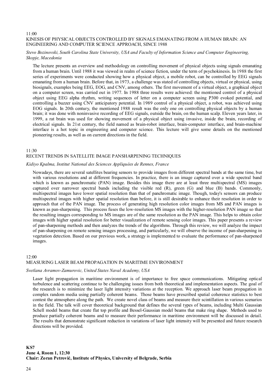#### 11:00 KINESIS OF PHYSICAL OBJECTS CONTROLLED BY SIGNALS EMANATING FROM A HUMAN BRAIN: AN ENGINEERING AND COMPUTER SCIENCE APPROACH, SINCE 1988

# *Stevo Bozinovski, South Carolina State University, USA and Faculty of Information Science and Computer Engineering, Skopje, Macedonia*

The lecture presents an overview and methodology on controlling movement of physical objects using signals emanating from a human brain. Until 1988 it was viewed in realm of science fiction, under the term of psychokinesis. In 1988 the first series of experiments were conducted showing how a physical object, a mobile robot, can be controlled by EEG signals emanating from a human brain. Before that, in 1973, a challenge was stated of controlling objects, virtual or physical, using biosignals, examples being EEG, EOG, and CNV, among others. The first movement of a virtual object, a graphical object on a computer screen, was carried out in 1977. In 1988 three results were achieved: the mentioned control of a physical object using EEG alpha rhythm, writing sequences of letter on a computer screen using P300 evoked potential, and controlling a buzzer using CNV anticipatory potential. In 1989 control of a physical object, a robot, was achieved using EOG signals. In 20th century, the mentioned 1988 result was the only one on controlling physical objects by a human brain; it was done with noninvasive recording of EEG signals, outside the brain, on the human scalp. Eleven years later, in 1999, a rat brain was used for showing movement of a physical object using invasive, inside the brain, recording of electrical signals. In 21st century, the field named as brain-robot interface, brain-computer interface, and brain-machine interface is a hot topic in engineering and computer science. This lecture will give some details on the mentioned pioneering results, as well as on current directions in the field.

#### $11.30$

# RECENT TRENDS IN SATELLITE IMAGE PANSHARPENING TECHNIQUES

#### *Kidiyo Kpalma, Institut National des Sciences Appliquées de Rennes, France*

Nowadays, there are several satellites bearing sensors to provide images from different spectral bands at the same time, but with various resolutions and at different frequencies. In practice, there is an image captured over a wide spectral band which is known as panchromatic (PAN) image. Besides this image there are at least three multispectral (MS) images captured over narrower spectral bands including the visible red (R), green (G) and blue (B) bands. Commonly, multispectral images have lower spatial resolution than that of panchromatic image. Though, today's sensors can produce multispectral images with higher spatial resolution than before, it is still desirable to enhance their resolution in order to approach that of the PAN image. The process of generating high resolution color images from MS and PAN images is known as pan-sharpening. This process fuses the low-resolution MS images with the higher-resolution PAN image so that the resulting images corresponding to MS images are of the same resolution as the PAN image. This helps to obtain color images with higher spatial resolution for better visualization of remote sensing color images. This paper presents a review of pan-sharpening methods and then analyzes the trends of the algorithms. Through this review, we will analyze the impact of pan-sharpening on remote sensing images processing, and particularly, we will observe the income of pan-sharpening in vegetation detection. Based on our previous work, a strategy is implemented to evaluate the performance of pan-sharpened images.

# 12:00 MEASURING LASER BEAM PROPAGATION IN MARITIME ENVIRONMENT

### *Svetlana Avramov-Zamurovic, United States Naval Academy, USA*

Laser light propagation in maritime environment is of importance to free space communications. Mitigating optical turbulence and scattering continue to be challenging issues from both theoretical and implementation aspects. The goal of the research is to minimize the laser light intensity variations at the reception. We approach laser beam propagation in complex random media using partially coherent beams. Those beams have prescribed spatial coherence statistics to best contest the atmosphere along the path. We create novel class of beams and measure their scintillation in various scenarios in the field. The talk will cover theoretical background that defines the several types of beams, including Multi Gaussian Schell model beams that create flat top profile and Bessel-Gaussian model beams that make ring shape. Methods used to produce partially coherent beams and to measure their performance in maritime environment will be discussed in detail. The results that demonstrate significant reduction in variations of laser light intensity will be presented and future research directions will be provided.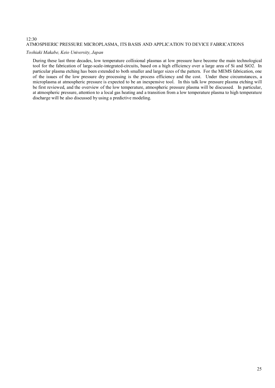# $12:30$ ATMOSPHERIC PRESSURE MICROPLASMA, ITS BASIS AND APPLICATION TO DEVICE FABRICATIONS

# *Toshiaki Makabe, Keio University, Japan*

During these last three decades, low temperature collisional plasmas at low pressure have become the main technological tool for the fabrication of large-scale-integrated-circuits, based on a high efficiency over a large area of Si and SiO2. In particular plasma etching has been extended to both smaller and larger sizes of the pattern. For the MEMS fabrication, one of the issues of the low pressure dry processing is the process efficiency and the cost. Under these circumstances, a microplasma at atmospheric pressure is expected to be an inexpensive tool. In this talk low pressure plasma etching will be first reviewed, and the overview of the low temperature, atmospheric pressure plasma will be discussed. In particular, at atmospheric pressure, attention to a local gas heating and a transition from a low temperature plasma to high temperature discharge will be also discussed by using a predictive modeling.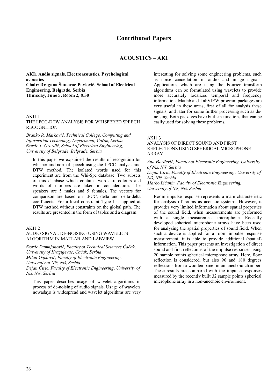# **ACOUSTICS – AKI**

**AKI1 Audio signals, Electroacoustics, Psychological acoustics Chair: Dragana Šumarac Pavlović, School of Electrical Engineering, Belgrade, Serbia Thursday, June 5, Room 2, 8:30** 

# AKI1.1

THE LPCC-DTW ANALYSIS FOR WHISPERED SPEECH RECOGNITION

*Branko R. Marković, Technical College, Computing and Information Technology Department, Čačak, Serbia Đorđe T. Grozdić, School of Electrical Engineering, University of Belgrade, Belgrade, Serbia* 

In this paper we explained the results of recognition for whisper and normal speech using the LPCC analysis and DTW method. The isolated words used for this experiment are from the Whi-Spe database. Two subsets of this database which contains words of colours and words of numbers are taken in consideration. The speakers are 5 males and 5 females. The vectors for comparison are based on LPCC, delta and delta-delta coefficients. For a local constraint Type I is applied at DTW method without constraints on the global path. The results are presented in the form of tables and a diagram.

# AK<sub>I1.2</sub>

#### AUDIO SIGNAL DE-NOISING USING WAVELETS ALGORITHM IN MATLAB AND LABVIEW

*Đorđe Damnjanović, Faculty of Technical Sciences Čačak, University of Kragujevac, Čačak, Serbia Milan Gojković, Faculty of Electronic Engineering, University of Niš, Niš, Serbia* 

*Dејan Ćirić, Faculty of Electronic Engineering, University of Niš, Niš, Serbia* 

This paper describes usage of wavelet algorithms in process of de-noising of audio signals. Usage of wavelets nowadays is widespread and wavelet algorithms are very interesting for solving some engineering problems, such as noise cancellation in audio and image signals. Applications which are using the Fourier transform algorithms can be formulated using wavelets to provide more accurately localized temporal and frequency information. Matlab and LabVIEW program packages are very useful in these areas, first of all for analysis these signals, and later for some further processing such as denoising. Both packages have built-in functions that can be easily used for solving these problems.

#### AKI1.3

### ANALYSIS OF DIRECT SOUND AND FIRST REFLECTIONS USING SPHERICAL MICROPHONE ARRAY

*Ana Đorđević, Faculty of Electronic Engineering, University of Niš, Niš, Serbia* 

*Dejan Ćirić, Faculty of Electronic Engineering, University of Niš, Niš, Serbia* 

*Marko Ličanin, Faculty of Electronic Engineering, University of Niš, Niš, Serbia* 

Room impulse response represents a main characteristic for analysis of rooms as acoustic systems. However, it provides very limited information about spatial properties of the sound field, when measurements are performed with a single measurement microphone. Recently developed spherical microphone arrays have been used for analyzing the spatial properties of sound field. When such a device is applied for a room impulse response measurement, it is able to provide additional (spatial) information. This paper presents an investigation of direct sound and first reflections of the impulse responses using 20 sample points spherical microphone array. Here, floor reflection is considered, but also 90 and 180 degrees reflections from a wooden panel in an anechoic chamber. These results are compared with the impulse responses measured by the recently built 32 sample points spherical microphone array in a non-anechoic environment.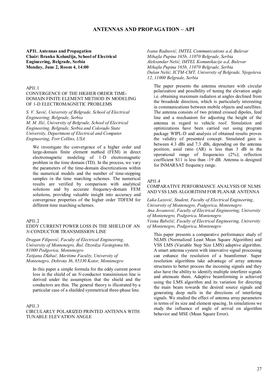# **ANTENNAS AND PROPAGATION – API**

**API1. Antennas and Propagation Chair: Branko Kolunžija, School of Electrical Engineering, Belgrade, Serbia Monday, June 2, Room 4, 14:00** 

# API1.1

# CONVERGENCE OF THE HIGHER ORDER TIME-DOMAIN FINITE ELEMENT METHOD IN MODELING OF 1-D ELECTROMAGNETIC PROBLEMS

*S. V. Savić, University of Belgrade, School of Electrical Engineering, Belgrade, Serbia M. M. Ilić, University of Belgrade, School of Electrical Engineering, Belgrade, Serbia and Colorado State University, Department of Electrical and Computer Engineering, Fort Collins, USA* 

We investigate the convergence of a higher order and large-domain finite element method (FEM) in direct electromagnetic modeling of 1-D electromagnetic problem in the time domain (TD). In the process, we vary the parameters of the time-domain discretizations within the numerical models and the number of time-stepping samples in the time marching schemes. The numerical results are verified by comparison with analytical solutions and by accurate frequency-domain FEM solutions, providing valuable insight into accuracy and convergence properties of the higher order TDFEM for different time marching schemes.

### API1.2

#### EDDY CURRENT POWER LOSS IN THE SHIELD OF AN *N*-CONDUCTOR TRANSMISSION LINE

*Dragan Filipović, Faculty of Electrical Engineering, University of Montenegro, Bul. Dzordza Vasingtona bb, 81000 Podgorica, Montenegro Tatijana Dlabač, Maritime Faculty, University of Montenegro, Dobrota 36, 85330 Kotor, Montenegro* 

In this paper a simple formula for the eddy current power loss in the shield of an *N*-conductor transimission line is derived under the assumption that the shield and the conductors are thin. The general theory is illustrated by a particular case of a shielded symmetrical three-phase line.

#### API1.3

CIRCULARLY POLARIZED PRINTED ANTENNA WITH TUNABLE ELEVATION ANGLE

*Ivana Radnović, IMTEL Communications a.d, Bulevar Mihajla Pupina 165b, 11070 Belgrade, Serbia Aleksandar Nešić, IMTEL Komunikacije a.d, Bulevar Mihajla Pupina 165b, 11070 Belgrade, Serbia Dušan Nešić, ICTM-CMT, University of Belgrade, Njegoševa 12, 11000 Belgrade, Serbia* 

The paper presents the antenna structure with circular polarization and possibility of tuning the elevation angle i.e. obtaining maximum radiation at angles declined from the broadside direction, which is particularly interesting in communications between mobile objects and satellites. The antenna consists of two printed crossed dipoles, feed line and a mechanism for adjusting the height of the antenna in regard to vehicle roof. Simulation and optimizations have been carried out using program package WIPL-D and analysis of obtained results proves the validity of presented concept. Simulated gain is between 4.3 dBi and 7.3 dBi, depending on the antenna position; axial ratio (AR) is less than 3 dB in the operational range of frequencies (2%); reflection coefficient S11 is less than -19 dB. Antenna is designed for INMARSAT frequency range.

#### API1.4

# COMPARATIVE PERFORMANCE ANALYSIS OF NLMS AND VSS LMS ALGORITHM FOR PLANAR ANTENNA

*Luka Lazović, Student, Faculty of Electrical Engineering, University of Montenegro, Podgorica, Montenegro Ana Jovanović, Faculty of Electrical Engineering, University of Montenegro, Podgorica, Montenegro Vesna Rubežić, Faculty of Electrical Engineering, University of Montenegro, Podgorica, Montenegro* 

This paper presents a comparative performance study of NLMS (Normalized Least Mean Square Algorithm) and VSS LMS (Variable Step Size LMS) adaptive algorithm. A smart antenna system with innovative signal processing can enhance the resolution of a beamformer. Super resolution algorithms take advantage of array antenna structures to better process the incoming signals and they also have the ability to identify multiple interferer signals and attenuate them. Adaptive beamforming is achieved using the LMS algorithm and its variation for directing the main beam towards the desired source signals and generating deep nulls in the directions of interfering signals. We studied the effect of antenna array parameters in terms of its size and element spacing. In simulations we study the influence of angle of arrival on algorithm behavior and MSE (Mean Square Error).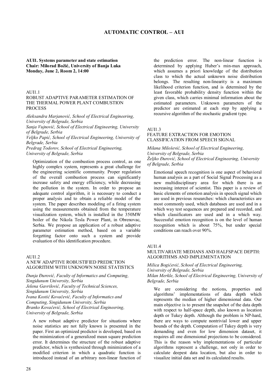# **AUTOMATIC CONTROL – AUI**

#### **AUI1. Systems parameter and state estimation Chair: Milorad Božić, University of Banja Luka Monday, June 2, Room 2, 14:00**

#### AUI1.1

#### ROBUST ADAPTIVE PARAMETER ESTIMATION OF THE THERMAL POWER PLANT COMBUSTION **PROCESS**

*Aleksandra Marjanović, School of Electrical Engineering, University of Belgrade, Serbia* 

*Sanja Vujnović, School of Electrical Engineering, University of Belgrade, Serbia* 

*Veljko Papić, School of Electrical Engineering, University of Belgrade, Serbia* 

*Predrag Todorov, School of Electrical Engineering, University of Belgrade, Serbia* 

Optimization of the combustion process control, as one highly complex system, represents a great challenge for the engineering scientific community. Proper regulation of the overall combustion process can significantly increase safety and energy efficiency, while decreasing the pollution in the system. In order to propose an adequate control algorithm, it is necessary to conduct a proper analysis and to obtain a reliable model of the system. The paper describes modeling of a firing system using the measurements obtained from the temperature visualization system, which is installed in the 350MW boiler of the Nikola Tesla Power Plant, in Obrenovac, Serbia. We propose an application of a robust adaptive parameter estimation method, based on a variable forgetting factor onto such a system and provide evaluation of this identification procedure.

#### AUI1.2

# A NEW ADAPTIVE ROBUSTIFIED PREDICTION ALGORITHM WITH UNKNOWN NOISE STATISTICS

*Dunja Đurović, Faculty of Informatics and Computing, Singidunum University, Serbia Jelena Gavrilović, Faculty of Technical Sciences, Singidunum University, Serbia Ivana Kostić Kovačević, Faculty of Informatics and Computing, Singidunum University, Serbia Branko Kovačević, School of Electrical Engineering, University of Belgrade, Serbia* 

A new robust adaptive predictor for situations where noise statistics are not fully known is presented in the paper. First an optimized predictor is developed, based on the minimization of a generalized mean square prediction error. It determines the structure of the robust adaptive predictor, which is synthesized through minimization of a modified criterion in which a quadratic function is introduced instead of an arbitrary non-linear function of the prediction error. The non-linear function is determined by applying Huber's min-max approach, which assumes a priori knowledge of the distribution class to which the actual unknown noise distribution belongs. The resulting non-linearity is a maximum likelihood criterion function, and is determined by the least favorable probability density function within the given class, which carries minimal information about the estimated parameters. Unknown parameters of the predictor are estimated at each step by applying a recursive algorithm of the stochastic gradient type.

#### AUI1.3

#### FEATURE EXTRACTION FOR EMOTION CLASSIFICATION FROM SPEECH SIGNAL

*Milana Milošević, School of Electrical Engineering, University of Belgrade, Serbia Željko Đurović, School of Electrical Engineering, University of Belgrade, Serbia* 

Emotional speech recognition is one aspect of behavioral human analysis as a part of Social Signal Processing as a new multidisciplinary area for which there is an increasing interest of scientist. This paper is a review of basic elements of emotion analysis in speech signal which are used in previous researches: which characteristics are most commonly used, which databases are used and in a which way test sequences are prepared and recorded, and which classificators are used and in a which way. Successful emotion recognition is on the level of human recognition which is about 75%, but under special conditions can reach over 90%.

#### AUI1.4

# MULTIVARIATE MEDIANS AND HALFSPACE DEPTH: ALGORITHMS AND IMPLEMENTATION

*Milica Bogićević, School of Electrical Engineering, University of Belgrade, Serbia Milan Merkle, School of Electrical Engineering, University of Belgrade, Serbia* 

We are considering the notions, properties and algorithms' implementations of data depth which represents the median of higher dimensional data. Our main objective is to present the snapshot of the data depth with respect to half-space depth, also known as location depth or Tukey depth. Although the problem is NP-hard, there are ways to compute nontrivial lower and upper bounds of the depth. Computation of Tukey depth is very demanding and even for low dimension dataset, it requires all one dimensional projections to be considered. This is the reason why implementations of particular algorithms represent a challenge, not only in order to calculate deepest data location, but also in order to visualize initial data set and its calculated results.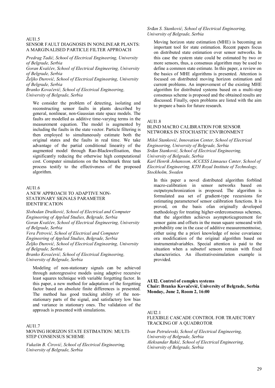#### AUI1.5

#### SENSOR FAULT DIAGNOSIS IN NONLINEAR PLANTS: A MARGINALISED PARTICLE FILTER APPROACH

*Predrag Tadić, School of Electrical Engineering, University of Belgrade, Serbia* 

*Goran Kvaščev, School of Electrical Engineering, University of Belgrade, Serbia* 

*Željko Ðurović, School of Electrical Engineering, University of Belgrade, Serbia* 

*Branko Kovačević, School of Electrical Engineering, University of Belgrade, Serbia* 

We consider the problem of detecting, isolating and reconstructing sensor faults in plants described by general, nonlinear, non-Gaussian state space models. The faults are modelled as additive time-varying terms in the measurement equation. The model is augmented by including the faults in the state vector. Particle filtering is then employed to simultaneously estimate both the original states and the faults in real time. We take advantage of the partial conditional linearity of the augmented model through Rao-Blackwellisation, thus significantly reducing the otherwise high computational cost. Computer simulations on the benchmark three tank process testify to the effectiveness of the proposed algorithm.

#### AUI1.6

# A NEW APPROACH TO ADAPTIVE NON-STATIONARY SIGNALS PARAMETER IDENTIFICATION

*Slobodan Drašković, School of Electrical and Computer Engineering of Applied Studies, Belgrade, Serbia Goran Kvaščev, School of Electrical Engineering, University of Belgrade, Serbia* 

*Vera Petrović, School of Electrical and Computer Engineering of Applied Studies, Belgrade, Serbia Željko Đurović, School of Electrical Engineering, University of Belgrade, Serbia* 

*Branko Kovačević, School of Electrical Engineering, University of Belgrade, Serbia* 

Modeling of non-stationary signals can be achieved through autoregressive models using adaptive recursive least squares technique with variable forgetting factor. In this paper, a new method for adaptation of the forgetting factor based on absolute finite differences is presented. The method has good tracking ability of the nonstationary parts of the signal, and satisfactory low bias and variance in stationary ones. The validation of the approach is presented with simulations.

#### AUI1.7

# MOVING HORIZON STATE ESTIMATION: MULTI-STEP CONSENSUS SCHEME

*Vukašin B. Ćirović, School of Electrical Engineering, University of Belgrade, Serbia* 

# *Srđan S. Stanković, School of Electrical Engineering, University of Belgrade, Serbia*

Moving horizon state estimation (MHE) is becoming an important tool for state estimation. Recent papers focus on distributed state estimation over sensor networks. In this case the system state could be estimated by two or more sensors, thus, a consensus algorithm may be used to define a common state estimate. In this paper, a review on the basics of MHE algorithms is presented. Attention is focused on distributed moving horizon estimation and current problems. An improvement of the existing MHE algorithm for distributed systems based on a multi-step consensus scheme is proposed and the obtained results are discussed. Finally, open problems are listed with the aim to prepare a basis for future research.

#### AUI1.8

# BLIND MACRO CALIBRATION FOR SENSOR NETWORKS IN STOCHASTIC ENVIRONMENT

*Miloš Stanković, Innovation Center, School of Electrical Engineering, University of Belgrade, Serbia Srđan Stanković, School of Electrical Engineering, University of Belgrade, Serbia Karl Henrik Johansson, ACCESS Linnaeus Center, School of Electrical Engineering, KTH Royal Institute of Technology, Stockholm, Sweden* 

In this paper a novel distributed algorithm forblind macro-calibration in sensor networks based on outputsynchronization is proposed. The algorithm is formulated asa set of gradient-type recursions for estimating parametersof sensor calibration functions. It is proved, on the basis ofan originally developed methodology for treating higher-orderconsensus schemes, that the algorithm achieves asymptoticagreement for sensor gains and offsets in the mean square senseand with probability one in the case of additive measurementnoise, either using the a priori knowledge of noise covariance ora modification of the original algorithm based on instrumentalvariables. Special attention is paid to the situation when a subsetof sensors remain with fixed characteristics. An illustrativesimulation example is provided.

# **AUI2. Control of complex systems Chair: Branko Kovačević, University of Belgrade, Serbia Monday, June 2, Room 2, 16:00**

#### AUI2.1

# FLEXIBLE CASCADE CONTROL FOR TRAJECTORY TRACKING OF A QUADROTOR

*Ivan Petruševski, School of Electrical Engineering, University of Belgrade, Serbia Aleksandar Rakić, School of Electrical Engineering, University of Belgrade, Serbia*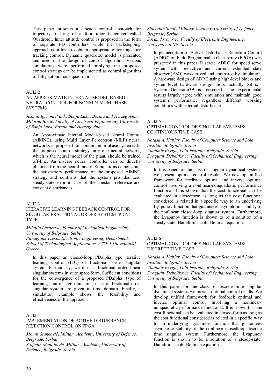This paper presents a cascade control approach for trajectory tracking of a four rotor helicopter called Quadrotor. Inner attitude control is proposed in the form of separate PD controllers, while the backstepping approach is utilized to obtain appropriate outer trajectory tracking control. Dynamic quadrotor model is presented and used in the design of control algorithm. Various simulations were performed implying the proposed control strategy can be implemented as control algorithm of fully autonomous quadrotor.

#### AUI2.2

# AN APPROXIMATE INTERNAL MODEL-BASED NEURAL CONTROL FOR NONMINIMUM PHASE **SYSTEMS**

*Jasmin Igić, mtel a.d., Banja Luka, Bosnia and Herzegovina Milorad Božić, Faculty of Electrical Engineering, University of Banja Luka, Bosnia and Herzegovina* 

An Approximate Internal Model-based Neural Control (AIMNC), using Multi Layer Perceptron (MLP) neural networks is proposed for nonminimum phase systems. In the proposed control strategy only one neural network, which is the neural model of the plant, should be trained off-line. An inverse neural controller can be directly obtained from the neural model. Simulations demonstrate the satisfactory performance of the proposed AIMNC strategy and confirms that the system provides zero steady-state error in case of the constant reference and constant disturbances.

# AUI2.3

# ITERATIVE LEARNING FEEBACK CONTROL FOR SINGULAR FRACTIONAL ORDER SYSTEM- PDA TYPE

# *Mihailo Lazarević, Faculty of Mechanical Engineering, University of Belgrade, Serbia*

*Panagiotis Tzekis, Electronic Engineering Department, School of Technological Applications, A.T.E.I Thessaloniki, Greece* 

In this paper an closed-loop PDalpha type iterative learning control (ILC) of fractional order singular system. Particularly, we discuss fractional order linear singular systems in state space form. Sufficient conditions for the convergence of a proposed PDalpha type of learning control algorithm for a class of fractional order singular system are given in time domain. Finally, a simulation example shows the feasibility and effectiveness of the approach.

# AUI2.4

# IMPLEMENTATION OF ACTIVE DISTURBANCE REJECTION CONTROL ON FPGA

*Momir Stanković, Military Academy, University of Defence, Belgrade, Serbia Stojadin Manojlović, Military Academy, University of Defence, Belgrade, Serbia* 

*Slobodan Simić, Military Academy, University of Defence, Belgrade, Serbia Zoran Jovanović, Faculty of Electronic Engineering, University of Niš, Serbia* 

Implementation of Active Disturbance Rejection Control (ADRC) on Field Programmable Gate Array (FPGA) was presented in this paper. Discrete ADRC for speed servo system with predictive and current extended state observer (ESO) was derived and compared by simulation. A hardware design of ADRC using high-level blocks and system-level hardware design tools, actually Xilinx's System Generator™ is presented. The experimental results largely agree with simulation and maintain good system's performance regardless different working conditions with external disturbance.

#### AUI2.5

# OPTIMAL CONTROL OF SINGULAR SYSTEMS: CONTINUOUS TIME CASE

*Nataša A. Kablar, Faculty of Computer Science and Lola Institute, Belgrade, Serbia Vladimir Kvrgić, Lola Institute, Belgrade, Serbia Dragutin Debeljković, Faculty of Mechanical Engineering, University of Belgrade, Serbia* 

In this paper for the class of singular dynamical systems we present optimal control results. We develop unified framework for feedback optimal and inverse optimal control involving a nonlinear-nonquadratic performance functional. It is shown that the cost functional can be evaluated in closedform as long as the cost functional considered is related in a specific way to an underlying Lyapunov function that guarantees asymptotic stability of the nonlinear closed-loop singular system. Furthermore, the Lyapunov function is shown to be a solution of a steady-state, Hamilton-Jacobi-Bellman equation.

#### AUD  $6$

#### OPTIMAL CONTROL OF SINGULAR SYSTEMS: DISCRETE TIME CASE

*Nataša A. Kablar, Faculty of Computer Science and Lola Institute, Belgrade, Serbia Vladimir Kvrgić, Lola Institute, Belgrade, Serbia Dragutin Debeljković, Faculty of Mechanical Engineering, University of Belgrade, Serbia* 

In this paper for the class of discrete time singular dynamical systems we present optimal control results. We develop unified framework for feedback optimal and inverse optimal control involving a nonlinearnonquadratic performance functional. It is shown that the cost functional can be evaluated in closed-form as long as the cost functional considered is related in a specific way to an underlying Lyapunov function that guarantees asymptotic stability of the nonlinear closedloop discrete time singular system. Furthermore, the Lyapunov function is shown to be a solution of a steady-state, Hamilton-Jacobi-Bellman equation.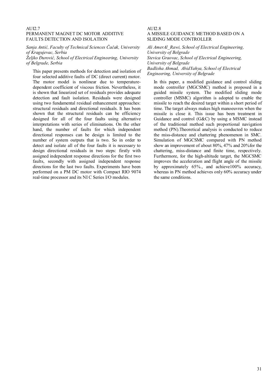# AUI2.7 PERMANENT MAGNET DC MOTOR ADDITIVE FAULTS DETECTION AND ISOLATION

*Sanja Antić, Faculty of Technical Sciences Čačak, University of Kragujevac, Serbia* 

*Željko Đurović, School of Electrical Engineering, University of Belgrade, Serbia* 

This paper presents methods for detection and isolation of four selected additive faults of DC (direct current) motor. The motor model is nonlinear due to temperaturedependent coefficient of viscous friction. Nevertheless, it is shown that linearized set of residuals provides adequate detection and fault isolation. Residuals were designed using two fundamental residual enhancement approaches: structural residuals and directional residuals. It has been shown that the structural residuals can be efficiency designed for all of the four faults using alternative interpretations with series of eliminations. On the other hand, the number of faults for which independent directional responses can be design is limited to the number of system outputs that is two. So in order to detect and isolate all of the four faults it is necessary to design directional residuals in two steps: firstly with assigned independent response directions for the first two faults, secondly with assigned independent response directions for the last two faults. Experiments have been performed on a PM DC motor with Compact RIO 9074 real-time processor and its NI C Series I/O modules.

#### AUI2.8 A MISSILE GUIDANCE METHOD BASED ON A SLIDING MODE CONTROLLER

*Ali AmerAl\_Rawi, School of Electrical Engineering, University of Belgrade Stevica Graovac, School of Electrical Engineering,* 

*University of Belgrade Badlisha Ahmad, AbidYahya, School of Electrical* 

*Engineering, University of Belgrade* 

In this paper, a modified guidance and control sliding mode controller (MGCSMC) method is proposed in a guided missile system. The modified sliding mode controller (MSMC) algorithm is adopted to enable the missile to reach the desired target within a short period of time. The target always makes high manoeuvres when the missile is close it. This issue has been treatment in Guidance and control (G&C) by using a MSMC instead of the traditional method such proportional navigation method (PN).Theoretical analysis is conducted to reduce the miss-distance and chattering phenomenon in SMC. Simulation of MGCSMC compared with PN method show an improvement of about 80%, 47% and 20%for the chattering, miss-distance and finite time, respectively. Furthermore, for the high-altitude target, the MGCSMC improves the acceleration and flight angle of the missile by approximately 65%., and achieve100% accuracy, whereas in PN method achieves only 60% accuracy under the same conditions.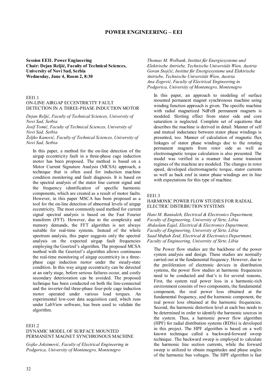# **POWER ENGINEERING – EEI**

**Session EEI1. Power Engineering Chair: Dejan Reljić, Faculty of Technical Sciences, University of Novi Sad, Serbia Wednesday, June 4, Room 2, 8:30** 

# EEI1.1

### ON-LINE AIRGAP ECCENTRICITY FAULT DETECTION IN A THREE-PHASE INDUCTION MOTOR

*Dejan Reljić, Faculty of Technical Sciences, University of Novi Sad, Serbia* 

*Josif Tomić, Faculty of Technical Sciences, University of Novi Sad, Serbia* 

*Željko Kanović, Faculty of Technical Sciences, University of Novi Sad, Serbia* 

In this paper, a method for the on-line detection of the airgap eccentricity fault in a three-phase cage induction motor has been proposed. The method is based on a Motor Current Signature Analysis (MCSA) approach, a technique that is often used for induction machine condition monitoring and fault diagnosis. It is based on the spectral analysis of the stator line current signal and the frequency identification of specific harmonic components, which are created as a result of motor faults. However, in this paper MSCA has been proposed as a tool for the on-line detection of abnormal levels of airgap eccentricity. The most commonly used method for current signal spectral analysis is based on the Fast Fourier transform (FFT). However, due to the complexity and memory demands, the FFT algorithm is not always suitable for real-time systems. Instead of the whole spectrum analysis, this paper suggests only the spectral analysis on the expected airgap fault frequencies employing the Goertzel's algorithm. The proposed MCSA method with the Goertzel's algorithm allows continuous the real-time monitoring of airgap eccentricity in a threephase cage induction motor under the steady-state condition. In this way airgap eccentricity can be detected at an early stage, before serious failures occur, and costly secondary deterioration can be avoided. The proposed technique has been conducted on both the line-connected and the inverter-fed three-phase four-pole cage induction motor operated under various load torques. An experimental low-cost data acquisition card, which runs under LabView software, has been used to validate the algorithm.

#### EEI1.2

# DYNAMIC MODEL OF SURFACE MOUNTED PERMANENT MAGNET SYNCHRONOUS MACHINE

*Gojko Joksimović, Faculty of Electrical Engineering in Podgorica, University of Montenegro, Montenegro* 

*Thomas M. Wolbank, Institut für Energiesysteme und Elektrische Antriebe, Technische Universität Wien, Austria Goran Stojčić, Institut für Energiesysteme und Elektrische Antriebe, Technische Universität Wien, Austria Ana Zogović, Faculty of Electrical Engineering in Podgorica, University of Montenegro, Montenegro* 

In this paper, an approach to modeling of surface mounted permanent magnet synchronous machine using winding function approach is given. The specific machine with radial magnetized NdFeB permanent magnets is modeled. Slotting effect from stator side and core saturation is neglected. Complete set of equations that describes the machine is derived in detail. Manner of self and mutual inductance between stator phase windings is presented, too. Manner of calculation of magnetic flux linkages of stator phase windings due to the rotating permanent magnets from rotor side as well as electromagnetic torque calculation is also presented. The model was verified in a manner that some transient regimes of the machine are modeled. The changes in rotor speed, developed electromagnetic torque, stator currents as well as back emf in stator phase windings are in line with expectations for this type of machine.

#### EEI1.3

#### HARMONIC POWER FLOW STUDIES FOR RADIAL ELECTRIC DISTRIBUTION SYSTEMS

*Hani M. Baniodeh, Electrical & Electronics Department, Faculty of Engineering, University of Sirte, Libia Abdaslam Eajal, Electrical & Electronics Department, Faculty of Engineering, University of Sirte, Libia Saad Muftah Zeid, Electrical & Electronics Department, Faculty of Engineering, University of Sirte, Libia* 

The Power flow studies are the backbone of the power system analysis and design. These studies are normally carried out at the fundamental frequency. However, due to the proliferation of electronic devices in distribution systems, the power flow studies at harmonic frequencies need to be conducted and that's is for several reasons, First, the system real power loss in a harmonic-rich environment consists of two components, the fundamental component, the real power loss obtained at the fundamental frequency, and the harmonic component, the real power loss obtained at the harmonic frequencies. Second, the harmonic distortion level at each bus needs to be determined in order to identify the harmonic sources in the system. Thus, a harmonic power flow algorithm (HPF) for radial distribution systems (RDSs) is developed in this project. The HPF algorithm is based on a well known technique called a backward-forward sweep technique. The backward sweep is employed to calculate the harmonic line section currents, while the forward sweep is utilized to obtain magnitudes and phase angles of the harmonic bus voltages. The HPF algorithm is fast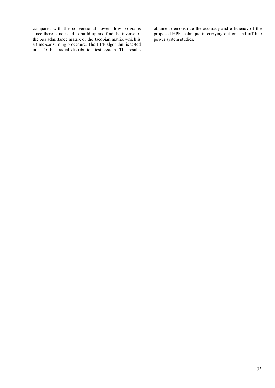compared with the conventional power flow programs since there is no need to build up and find the inverse of the bus admittance matrix or the Jacobian matrix which is a time-consuming procedure. The HPF algorithm is tested on a 10-bus radial distribution test system. The results obtained demonstrate the accuracy and efficiency of the proposed HPF technique in carrying out on- and off-line power system studies.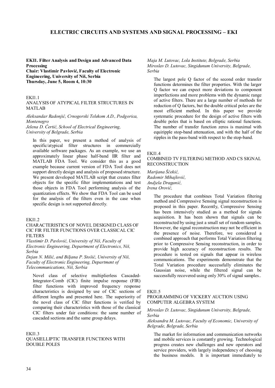# **ELECTRIC CIRCUITS AND SYSTEMS AND SIGNAL PROCESSING – EKI**

**EKI1. Filter Analysis and Design and Advanced Data Processing** 

**Chair: Vlastimir Pavlović, Faculty of Electronic Engineering, University of Niš, Serbia Thursday, June 5, Room 4, 10:30** 

#### EKI1.1

# ANALYSIS OF ATYPICAL FILTER STRUCTURES IN MATLAB

*Aleksandar Radonjić, Crnogorski Telekom A.D., Podgorica, Montenegro* 

*Jelena D. Ćertić, School of Electrical Engineering, University of Belgrade, Serbia* 

In this paper, we present a method of analysis of specific/atypical filter structures in commercially available software packages. As an example, we use an approximately linear phase half-band IIR filter and MATLAB FDA Tool. We consider this as a good example because current version of FDA Tool does not support directly design and analysis of proposed structure. We present developed MATLAB script that creates filter objects for the specific filter implementations and test those objects in FDA Tool performing analysis of the quantization effects. We show that FDA Tool can be used for the analysis of the filters even in the case when specific design is not supported directly.

#### EKI1.2

# CHARACTERISTICS OF NOVEL DESIGNED CLASS OF CIC FIR FILTER FUNCTIONS OVER CLASSICAL CIC FILTERS

*Vlastimir D. Pavlović, University of Niš, Faculty of Electronic Engineering, Department of Electronics, Niš, Serbia* 

*Dejan N. Milić, and Biljana P. Stošić, University of Niš, Faculty of Electronic Engineering, Department of Telecommunications, Niš, Serbia* 

Novel class of selective multiplierless Cascaded-Integrator-Comb (CIC) finite impulse response (FIR) filter functions with improved frequency response characteristics is designed by use of CIC sections of different lengths and presented here. The superiority of the novel class of CIC filter functions is verified by comparing their characteristics with those of the classical CIC filters under fair conditions: the same number of cascaded sections and the same group delays.

#### EKI1.3

QUASIELLIPTIC TRANSFER FUNCTIONS WITH DOUBLE POLES

*Maja M. Lutovac, Lola Institute, Belgrade, Serbia Miroslav D. Lutovac, Singidunum University, Belgrade, Serbia* 

The largest pole Q factor of the second order transfer functions determines the filter properties. With the larger Q factor we can expect more deviations to component imperfections and more problems with the dynamic range of active filters. There are a large number of methods for reduction of Q factors, but the double critical poles are the most efficient method. In this paper we provide systematic procedure for the design of active filters with double poles that is based on elliptic rational functions. The number of transfer function zeros is maximal with equiripple stop-band attenuation, and with the half of the ripples in the pass-band with respect to the stop-band.

#### **EKI1.4**

#### COMBINED TV FILTERING METHOD AND CS SIGNAL RECONSTRUCTION

*Marijana Šćekić, Radomir Mihajlović, Andjela Draganić, Irena Orović,* 

> The procedure that combines Total Variation filtering method and Compressive Sensing signal reconstruction is proposed in this paper. Recently, Compressive Sensing has been intensively studied as a method for signals acquisition. It has been shown that signals can be reconstructed by using just a small set of random samples. However, the signal reconstruction may not be efficient in the presence of noise. Therefore, we considered a combined approach that performs Total Variation filtering prior to Compressive Sensing reconstruction, in order to provide high accuracy of reconstruction results. The procedure is tested on signals that appear in wireless communications. The experiments demonstrate that the Total Variation procedure successfully eliminates the Gaussian noise, while the filtered signal can be successfully recovered using only 30% of signal samples...

#### EKI1.5

### PROGRAMMING OF VICKERY AUCTION USING COMPUTER ALGEBRA SYSTEM

#### *Miroslav D. Lutovac, Singidunum University, Belgrade, Serbia*

#### *Aleksandra M. Lutovac, Faculty of Economic, University of Belgrade, Belgrade, Serbia*

The market for information and communication networks and mobile services is constantly growing. Technological progress creates new challenges and new operators and service providers, with largely independency of choosing the business models. It is important immediately to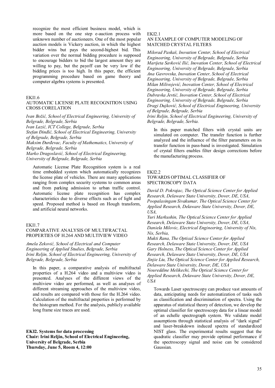recognize the most efficient business model, which is more based on the one step e-auction process with unknown number of auctioneers. One of the most popular auction models is Vickery auction, in which the highest bidder wins but pays the second-highest bid. This variation over the normal bidding procedure is supposed to encourage bidders to bid the largest amount they are willing to pay, but the payoff can be very low if the bidding prices is too high. In this paper, the efficient programming procedure based on game theory and computer algebra systems is presented.

#### EKI1.6

#### AUTOMATIC LICENSE PLATE RECOGNITION USING CROSS CORELATION

*Ivan Božić, School of Electrical Engineering, University of Belgrade, Belgrade, Serbia Ivan Lazić, ICT College, Belgrade, Serbia* 

*Stefan Đinđić, School of Electrical Engineering, University of Belgrade, Belgrade, Serbia* 

*Maksim Đurđevac, Faculty of Mathematics, University of Belgrade, Belgrade, Serbia* 

*Marko Dragoslavić, School of Electrical Engineering, University of Belgrade, Belgrade, Serbia* 

Automatic License Plate Recognition system is a real time embedded system which automatically recognizes the license plate of vehicles. There are many applications ranging from complex security systems to common areas and from parking admission to urban traffic control. Automatic license plate recognition has complex characteristics due to diverse effects such as of light and speed. Proposed method is based on Hough transform, and artificial neural networks.

# EKI1.7

# COMPARATIVE ANALYSIS OF MULTIFRACTAL PROPERTIES OF H.264 AND MULTIVIEW VIDEO

*Amela Zeković, School of Electrical and Computer Engineering of Applied Studies, Belgrade, Serbia Irini Reljin, School of Electrical Engineering, University of Belgrade, Belgrade, Serbia* 

In this paper, a comparative analysis of multifractal properties of a H.264 video and a multiview video is presented. Analyses of the different views of the multiview video are performed, as well as analyses of different streaming approaches of the multiview video, and results are compared with those for the H.264 video. Calculation of the multifractal properties is performed by the histogram method. For the analysis, publicly available long frame size traces are used.

**EKI2. Systems for data processing Chair: Irini Reljin, School of Electrical Engineering, University of Belgrade, Serbia Thursday, June 5, Room 4, 12:00** 

# EKI2.1

#### AN EXAMPLE OF COMPUTER MODELING OF MATCHED CRYSTAL FILTERS

*Milorad Paskaš, Inovation Center, School of Electrical Engineering, University of Belgrade, Belgrade, Serbia Marijeta Savković Ilić, Inovation Center, School of Electrical Engineering, University of Belgrade, Belgrade, Serbia Ana Gavrovska, Inovation Center, School of Electrical Engineering, University of Belgrade, Belgrade, Serbia Milan Milivojević, Inovation Center, School of Electrical Engineering, University of Belgrade, Belgrade, Serbia Dubravka Jevtić, Inovation Center, School of Electrical Engineering, University of Belgrade, Belgrade, Serbia Dragi Dujković, School of Electrical Engineering, University of Belgrade, Belgrade, Serbia Irini Reljin, School of Electrical Engineering, University of Belgrade, Belgrade, Serbia.* 

In this paper matched filters with crystal units are simulated on computer. The transfer function is further analyzed and the influence of the filter parameters on its transfer function in pass-band is investigated. Simulation of crystal filters enables filter design corrections before the manufacturing process.

#### EKI2.2

# TOWARDS OPTIMAL CLASSIFIER OF SPECTROSCOPY DATA

*David D. Pokrajac, The Optical Science Center for Applied Research, Delaware State University, Dover, DE, USA, Poopalasingam Sivakumar, The Optical Science Center for Applied Research, Delaware State University, Dover, DE, USA,* 

*Yuri Markushin, The Optical Science Center for Applied Research, Delaware State University, Dover, DE, USA, Daniela Milovic, Electrical Engineering, University of Nis, Nis, Serbia,* 

*Mukti Rana, The Optical Science Center for Applied Research, Delaware State University, Dover, DE, USA Gary Holness, The Optical Science Center for Applied Research, Delaware State University, Dover, DE, USA Jinjie Liu, The Optical Science Center for Applied Research, Delaware State University, Dover, DE, USA Noureddine Melikechi, The Optical Science Center for Applied Research, Delaware State University, Dover, DE, USA* 

Towards Laser spectroscopy can produce vast amounts of data, anticipating needs for automatization of tasks such as classification and discrimination of spectra. Using the apparatus of statistical theory of detection, we develop the optimal classifier for spectroscopy data for a linear model of an echelle spectrograph system. We validate model assumptions through statistical analysis of "dark signal" and laser-breakdown induced spectra of standardized NIST glass. The experimental results suggest that the quadratic classifier may provide optimal performance if the spectroscopy signal and noise can be considered Gaussian.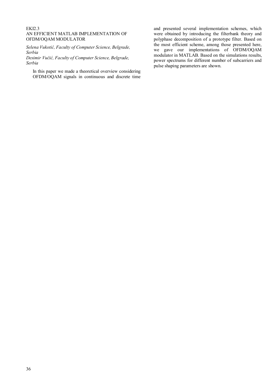### EKI2.3 AN EFFICIENT MATLAB IMPLEMENTATION OF OFDM/OQAM MODULATOR

*Selena Vukotić, Faculty of Computer Science, Belgrade, Serbia* 

*Desimir Vučić, Faculty of Computer Science, Belgrade, Serbia* 

In this paper we made a theoretical overview considering OFDM/OQAM signals in continuous and discrete time and presented several implementation schemes, which were obtained by introducing the filterbank theory and polyphase decomposition of a prototype filter. Based on the most efficient scheme, among those presented here, we gave our implementations of OFDM/OQAM modulator in MATLAB. Based on the simulations results, power spectrums for different number of subcarriers and pulse shaping parameters are shown.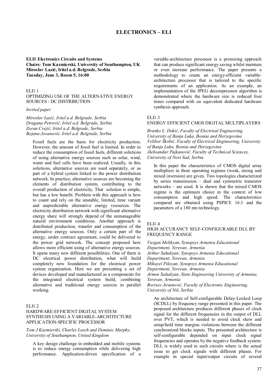# **ELECTRONICS – ELI**

**ELI1 Electronics Circuits and Systems Chairs: Tom Kazmierski, University of Southampton, UK Miroslav Lazić, Iritel a.d. Belgrade, Serbia Tuesday, June 3, Room 5, 16:00** 

#### ELI1.1

OPTIMIZING USE OF THE ALTERNATIVE ENERGY SOURCES - DC DISTRIBUTION

#### *Invited paper*

*Miroslav Lazić, Iritel a.d. Belgrade, Serbia Dragana Petrović, Iritel a.d. Belgrade, Serbia Zoran Cvejić, Iritel a.d. Belgrade, Serbia Bojana Jovanović, Iritel a.d. Belgrade, Serbia* 

Fossil fuels are the basis for electricity production. However, the amount of fossil fuel is limited. In order to reduce the consumption of fossil fuels, different solutions of using alternative energy sources such as solar, wind, water and fuel cells have been realized. Usually, in this solutions, alternative sources are used separately, or as part of a hybrid system linked to the power distribution network. In practice, alternative sources are becoming the elements of distribution system, contributing to the overall production of electricity. That solution is simple, but has a low benefit. Problem with this approach is how to count and rely on the unstable, limited, time variant and unpredictable alternative energy resources. The electricity distribution network with significant alternative energy share will strongly depend of the unmanageable natural environment conditions. Another approach is distributed production, transfer and consumption of the alternative energy sources. Only a certain part of the energy, under contract agreement, could be delivered to the power grid network. The concept proposed here allows more efficient using of alternative energy sources. It opens many new different possibilities. One of them is DC electrical power distribution, what will build completely new foundation for the electrical power system organization. Here we are presenting a set of devices developed and manufactured as a components for the integrated electrical system build, combining alternative and traditional energy sources in parallel working.

#### ELI1.2

# HARDWARE-EFFICIENT DIGITAL SYSTEM SYNTHESIS USING A VARIABLE-ARCHITECTURE APPLICATION-SPECIFIC PROCESSOR

#### *Tom J Kazmierski, Charles Leech and Dominic Murphy, University of Southampton, United Kingdom*

A key design challenge in embedded and mobile systems is to reduce energy consumption while delivering high performance. Application-driven specification of a variable-architecture processor is a promising approach that can produce significant energy saving whilst maintain or even increase performance. The paper presents a methodology to create an energy-efficient variablearchitecture processor that is tailored to the specific requirements of an application. As an example, an implementation of the JPEG decompression algorithm is demonstrated where the hardware size is reduced four times compared with an equivalent dedicated hardware synthesis approach.

# ELI1.3

### ENERGY EFFICIENT CMOS DIGITAL MULTIPLAYERS

*Branko L. Dokić, Faculty of Electrical Engineering, University of Banja Luka, Bosnia and Herzegovina Velibor Škobić, Faculty of Electrical Engineering, University of Banja Luka, Bosnia and Herzegovina Aleksandar Pajkanović, Faculty of Technical Sciences, University of Novi Sad, Serbia* 

In this paper the characteristics of CMOS digital array multipliers in three operating regimes (weak, strong and mixed inversion) are given. Two topologies characterized by series transmission – dual and symmetric transistor networks – are used. It is shown that the mixed CMOS regime is the optimum choice in the context of low consumption and high speed. The characteristics compared are obtained using PSPICE 16.3 and the parameters of a 180 nm technology.

#### ELI1.4

### HIGH ACCURANCY SELF-CONFIGURABLE DLL BY FREQUENCY RANGE

*Vazgen Melikyan, Synopsys Armenia Educational Department, Yerevan, Armenia Arthur Sahakyan, Synopsys Armenia Educational Department, Yerevan, Armenia Mikayel Piloyan, Synopsys Armenia Educational Department, Yerevan, Armenia Armen Sahakyan, State Engineering University of Armenia, Yerevan, Armenia Borisav Jovanović, Faculty of Electronic Engineering, University of Niš, Serbia* 

An architecture of Self-configurable Delay-Locked Loop (SCDLL) by frequency range presented in this paper. The proposed architecture produces different phases of clock signal for the different frequencies in the output of DLL over PVT, which is needed to avoid clock skew and setup/hold time margins violations between the different synchronized blocks inputs. The presented architecture is self-configurable depended on input clock signal frequencies and operates by the negative feedback system. DLL is widely used in such circuits where is the actual issue to get clock signals with different phases. For example in special input/output circuits of several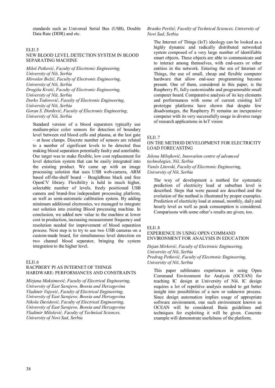standards such as Universal Serial Bus (USB), Double Data Rate (DDR) and etc.

# ELI1.5

#### NEW BLOOD LEVEL DETECTION SYSTEM IN BLOOD SEPARATING MACHINE

*Miloš Petković, Faculty of Electronic Engineering, University of Niš, Serbia Miroslav Božić, Faculty of Electronic Engineering, University of Niš, Serbia Dragiša Krstić, Faculty of Electronic Engineering, University of Niš, Serbia Darko Todorović, Faculty of Electronic Engineering, University of Niš, Serbia Goran S. Đorđević, Faculty of Electronic Engineering, University of Niš, Serbia* 

Standard version of a blood separators typically use medium-price color sensors for detection of boundary level between red blood cells and plasma, at the last gate – at hose clamps. Discrete number of sensors are related to a number of significant levels to be detected thus making blood separation potentially faulty and unreliable. Our target was to make flexible, low cost replacement for level detection system that can be easily integrated into the existing product. We came up with an image processing solution that uses USB web-camera, ARM based off-the-shelf board – BeagleBone black and free OpenCV library. Flexibility is held in much higher, selectable number of levels, freely positioned USB camera and brand-free independent processing platform, as well as semi-automatic calibration system. By adding minimum additional electronics, we managed to integrate our solution into existing Blood processing machine. In conclusion, we added new value to the machine at lower cost in production, increasing measurement frequency and resolution needed for improvement of blood separation process. Next step is to try to use two USB cameras on a custom-made board, for simultaneous level detection on two channel blood separator, bringing the system integration to the higher level.

#### ELI1.6

#### RACPBERY PI AS INTERNET OF THINGS HARDWARE: PERFORMANCES AND CONSTRAINTS

*Mirjana Maksimović, Faculty of Electrical Engineering, University of East Sarajevo, Bosnia and Herzegovina Vladimir Vujović, Faculty of Electrical Engineering, University of East Sarajevo, Bosnia and Herzegovina Nikola Davidović, Faculty of Electrical Engineering, University of East Sarajevo, Bosnia and Herzegovina Vladimir Milošević, Faculty of Technical Sciences, University of Novi Sad, Serbia* 

# *Branko Perišić, Faculty of Technical Sciences, University of Novi Sad, Serbia*

The Internet of Things (IoT) ideology can be looked as a highly dynamic and radically distributed networked system composed of a very large number of identifiable smart objects. These objects are able to communicate and to interact among themselves, with end-users or other entities in the network. Entering the era of Internet of Things, the use of small, cheap and flexible computer hardware that allow end-user programming become present. One of them, considered in this paper, is the Raspberry Pi, fully customizable and programmable small computer board. Comparative analysis of its key elements and performances with some of current existing IoT prototype platforms have shown that despite few disadvantages, the Raspberry Pi remains an inexpensive computer with its very successfully usage in diverse range of research applications in IoT vision

#### ELI1.7

# ON THE METHOD DEVELOPMENT FOR ELECTRICITY LOAD FORECASTING

#### *Jelena Milojković, Innovation centre of advanced technologies, Niš, Serbia Vančo Litovski, Faculty of Electronic Engineering, University of Niš, Serbia*

The way of development a method for systematic prediction of electricity load at suburban level is described. Steps that were passed are described and the evolution of the method is illustrated by proper examples. Prediction of electricity load at annual, monthly, daily and hourly level as well as peak consumption is considered. Comparisons with some other's results are given, too.

# ELI1.8

### EXPERIENCE IN USING OPEN COMMAND ENVIRONMENT FOR ANALYSIS IN EDUCATION

# *Dejan Mirković, Faculty of Electronic Engineering, University of Niš, Serbia Predrag Petković, Faculty of Electronic Engineering,*

*University of Niš, Serbia* 

This paper sublimates experiences in using Open Command Environment for Analysis (OCEAN) for teaching IC design at University of Niš. IC design requires a lot of repetitive analysis needed to get better insight into possibilities of a new or unknown process. Since design automation implies usage of appropriate software environment, one such environment known as OCEAN will be considered. Basic guidelines and techniques for exploiting it will be given. Concrete example will demonstrate usefulness of the platform.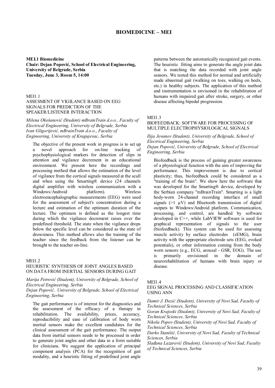# **BIOMEDICINE – MEI**

**MEI.1 Biomedicine Chair: Dejan Popović, School of Electrical Engineering, University of Belgrade, Serbia Tuesday, June 3, Room 5, 14:00** 

MEI1.1

ASSESMENT OF VIGILANCE BASED ON EEG SIGNALS FOR PREDICTION OF THE SPEAKER/LISTENER INTERACTION

*Milena Okošanović (Student) mBrainTrain d.o.o., Faculty of Electrical Engineering, University of Belgrade, Serbia Ivan Gligorijević, mBrainTrain d.o.o., Faculty of Engineering, University of Kragujevac, Serbia* 

The objective of the present work in progress is to set up a novel approach for on-line tracking of psychophysiological markers for detection of slips in attention and vigilance decrement in an educational environment. We present here the recordings and processing method that allows the estimation of the level of vigilance from the cortical signals measured at the scull and when using the Smarting® device (24 channels digital amplifier with wireless communication with a<br>Windows/Android platform). Wireless Windows/Android electroencephalographic measurements (EEG) were used for the assessment of subject's concentration during a lecture and estimation of the optimum duration of the lecture. The optimum is defined as the longest time during which the vigilance decrement raises over the predefined threshold. The state when the vigilance drops below the specific level can be considered as the state of drowsiness. This method allows also the training of the teacher since the feedback from the listener can be brought to the teacher on-line.

#### MEI1.2

#### HEURISTIC SYNTHESIS OF JOINT ANGLES BASED ON DATA FROM INERTIAL SENSORS DURING GAIT

*Marija Petrović (Student), University of Belgrade, School of Electrical Engineering, Serbia* 

*Dejan Popović, University of Belgrade, School of Electrical Engineering, Serbia* 

The gait performance is of interest for the diagnostics and the assessment of the efficacy of a therapy in rehabilitation. The availability, prices, accuracy, reproducibility and ease of calibration of body worn inertial sensors make the excellent candidates for the clinical assessment of the gait performance. The output data from inertial sensors needs to be processed in order to generate joint angles and other data in a form suitable for clinicians. We suggest the application of principal component analysis (PCA) for the recognition of gait modality, and a heuristic fitting of predefined joint angle

patterns between the automatically recognized gait events. The heuristic fitting aims to generate the angle joint data that is matching the data recorded with joint angle sensors. We tested this method for normal and artificially made abnormal gait (walking on toes, walking on heels, etc.) in healthy subjects. The application of this method and instrumentation is envisoned in the rehabilitation of humans with impaired gait after stroke, surgery, or other disease affecting bipedal progression.

#### MEI1.3

# BIOFEEDBACK: SOFTWARE FOR PROCESSING OF MULTIPLE ELECTROPHYSIOLOGICAL SIGNALS

*Ilija Jovanov (Student), University of Belgrade, School of Electrical Engineering, Serbia Dejan Popović, University of Belgrade, School of Electrical Engineering, Serbia* 

Biofeedback is the process of gaining greater awareness of a physiological function with the aim of improving the performance. This improvement is due to cortical plasticity; thus, biofeedback could be considered as a "training of the brain". We show here the software that was developed for the Smarting® device, developed by the Serbian company "mBrainTrain". Smarting is a light body-worn 24-channel recording interface of small signals  $(>1 \mu V)$  and Bluetooth transmission of digital outputs to Windows/Android platform. Communication, processing, and control, are handled by software developed in C++, while LabVIEW software is used for graphical representation of signals to the user (biofeedback). This system can be used for assessing muscle activity by surface electrodes (sEMG), brain activity with the appropriate electrode sets (EEG, evoked potentials), or other information coming from the body worn sensors (e.g., ECG, arousal - GSR, EOG). The use is primarily envisioned in the domain of neurorehabilitation of humans with brain injury or disease.

#### **MEI1.4**

# EEG SIGNAL PROCESSING AND CLASSIFICATION USING ANN

*Damir J. Đozić (Student), University of Novi Sad, Faculty of Technical Sciences, Serbia* 

*Goran Krajoski (Student), University of Novi Sad, Faculty of Technical Sciences, Serbia* 

*Nikola Popov (Student), University of Novi Sad, Faculty of Technical Sciences, Serbia* 

*Darko Stanišić, University of Novi Sad, Faculty of Technical Sciences, Serbia* 

*Slađana Lazarević (Student), University of Novi Sad, Faculty of Technical Sciences, Serbia*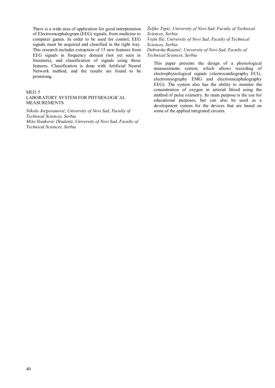There is a wide area of application for good interpretation of Electroencephalogram (EEG) signals, from medicine to computer games. In order to be used for control, EEG signals must be acquired and classified in the right way. This research includes extraction of 15 new features from EEG signals in frequency domain (not yet seen in literature), and classification of signals using those features. Classification is done with Artificial Neural Network method, and the results are found to be promising.

# MEI1.5

#### LABORATORY SYSTEM FOR PHYSIOLOGICAL MEASUREMENTS

*Nikola Jorgovanović, University of Novi Sad, Faculty of Technical Sciences, Serbia Mišo Stanković (Student), University of Novi Sad, Faculty of Technical Sciences, Serbia* 

*Željko Tepić, University of Novi Sad, Faculty of Technical Sciences, Serbia Vojin Ilić, University of Novi Sad, Faculty of Technical Sciences, Serbia Dubravka Bojanić, University of Novi Sad, Faculty of Technical Sciences, Serbia* 

This paper presents the design of a physiological measurements system, which allows recording of electrophysiological signals (electrocardiography ECG, electromyography EMG and electroencephalography EEG). The system also has the ability to monitor the concentration of oxygen in arterial blood using the method of pulse oximetry. Its main purpose is the use for educational purposes, but can also be used as a development system for the devices that are based on some of the applied integrated circuits.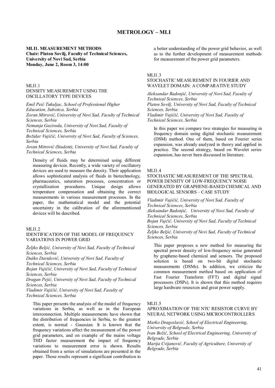# **METROLOGY – MLI**

# **MLI1. MEASUREMENT METHODS Chair: Platon Sovilj, Faculty of Technical Sciences, University of Novi Sad, Serbia Monday, June 2, Room 3, 14:00**

### MLI1.1 DENSITY MEASUREMENT USING THE OSCILLATORY TYPE DEVICES

*Emil Peić Tukuljac, School of Professional Higher Education, Subotica, Serbia Zoran Mitrović, University of Novi Sad, Faculty of Technical* 

*Sciences, Serbia Nemanja Gazivoda, University of Novi Sad, Faculty of* 

*Technical Sciences, Serbia* 

*Božidar Vujičić, University of Novi Sad, Faculty of Sciences, Serbia* 

*Jovan Mitrović (Student), University of Novi Sad, Faculty of Technical Sciences, Serbia* 

Density of fluids may be determined using different measuring devices. Recently, a wide variety of oscillatory devices are used to measure the density. Their application allows sophisticated analysis of fluids in biotechnology, pharmaceutics, saturation processes, concentration or crystallization procedures. Unique design allows temperature compensation and obtaining the correct measurements in various measurement processes. In the paper, the mathematical model and the potential uncertainty in the calibration of the aforementioned devices will be described.

#### MLI1.2

# IDENTIFICATION OF THE MODEL OF FREQUENCY VARIATIONS IN POWER GRID

*Željko Beljić, University of Novi Sad, Faculty of Technical Sciences, Serbia* 

*Duško Davidović, University of Novi Sad, Faculty of Technical Sciences, Serbia* 

*Bojan Vujičić, University of Novi Sad, Faculty of Technical Sciences, Serbia* 

*Dragan Pejić, University of Novi Sad, Faculty of Technical Sciences, Serbia* 

*Vladimir Vujičić, University of Novi Sad, Faculty of Technical Sciences, Serbia* 

This paper presents the analysis of the model of frequency variations in Serbia, as well as in the European interconnection. Multiple measurements have shown that the distribution of frequencies in Serbia, to the greatest extent, is normal - Gaussian. It is known that the frequency variations affect the measurement of the power grid parameters, and on example of the mains voltage THD factor measurement the impact of frequency variations to measurement error is shown. Results obtained from a series of simulations are presented in the paper. Those results represent a significant contribution to

a better understanding of the power grid behavior, as well as to the further development of measurement methods for measurement of the power grid parameters.

#### MLI1.3

# STOCHASTIC MEASUREMENT IN FOURIER AND WAVELET DOMAIN: A COMPARATIVE STUDY

*Aleksandar Radonjić, University of Novi Sad, Faculty of Technical Sciences, Serbia* 

*Platon Sovilj, University of Novi Sad, Faculty of Technical Sciences, Serbia* 

*Vladimir Vujičić, University of Novi Sad, Faculty of Technical Sciences, Serbia* 

In this paper we compare two strategies for measuring in frequency domain using digital stochastic measurement (DSM) method. One of them, based on Fourier series expansion, was already analyzed in theory and applied in practice. The second strategy, based on Wavelet series expansion, has never been discussed in literature.

#### MLI1.4

STOCHASTIC MEASUREMENT OF THE SPECTRAL POWER DENSITY OF LOW-FREQUENCY NOISE GENERATED BY GRAPHENE-BASED CHEMICAL AND BIOLOGICAL SENSORS – CASE STUDY

*Vladimir Vujičić, University of Novi Sad, Faculty of Technical Sciences, Serbia Aleksandar Radonjić, University of Novi Sad, Faculty of Technical Sciences, Serbia Bojan Vujčić, University of Novi Sad, Faculty of Technical Sciences, Serbia Željko Beljić, University of Novi Sad, Faculty of Technical Sciences, Serbia* 

This paper proposes a new method for measuring the spectral power density of low-frequency noise generated by graphene-based chemical and sensors. The proposed solution is based on two-bit digital stochastic measurements (DSMs). In addition, we criticize the common measurement method based on application of Fast Fourier Transform (FFT) and digital signal processors (DSPs). It is shown that this method requires large hardware resources and great power supply.

MLI1.5

# APROXIMATION OF THE NTC RESISTOR CURVE BY NEURAL NETWORK USING MICROCONTROLLERS

*Marko Dragoslavić, School of Electrical Engineering, University of Belgrade, Serbia Ivan Božić, School of Electrical Engineering, University of Belgrade, Serbia Marija Cvijanović, Faculty of Agriculture, University of Belgrade, Serbia*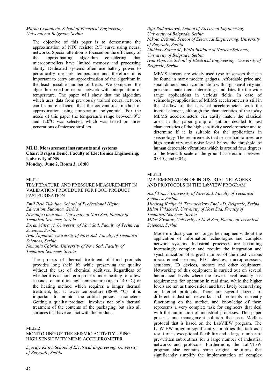# *Marko Cvijanović, School of Electrical Engineering, University of Belgrade, Serbia*

The objective of this paper is to demonstrate the approximation of NTC resistor R/T curve using neural networks. Special attention is focused on the efficiency of the approximating algorithm considering that microcontrollers have limited memory and processing ability. Dedicated systems often use battery power to periodically measure temperature and therefore it is important to carry out approximation of the algorithm in the least possible number of beats. We compared the algorithm based on neural network with interpolation of temperature. The paper will show that the algorithm which uses data from previously trained neural network can be more efficient than the conventional method of approximation using temperature polynomial. For the needs of this paper the temperature range between  $0^0C$ and  $120^{\circ}$ C was selected, which was tested on three generations of microcontrollers.

# **MLI2. Measurement instruments and systems Chair: Dragan Denić, Faculty of Electronics Engineering, University of Niš Monday, June 2, Room 3, 16:00**

#### MLI2.1

#### TEMPERATURE AND PRESSURE MEASUREMENT IN VALIDATION PROCEDURE FOR FOOD PRODUCT PASTEURISATION

*Emil Peić Tukuljac, School of Professional Higher Education, Subotica, Serbia* 

*Nemanja Gazivoda, University of Novi Sad, Faculty of Technical Sciences, Serbia* 

*Zoran Mitrović, University of Novi Sad, Faculty of Technical Sciences, Serbia* 

*Ivan Župunski, University of Novi Sad, Faculty of Technical Sciences, Serbia* 

*Nemanja Čabrilo, University of Novi Sad, Faculty of Technical Sciences, Serbia* 

The process of thermal treatment of food products provides long shelf life while preserving the quality without the use of chemical additives. Regardless of whether it is a short-term process under heating for a few seconds, or an ultra high temperature (up to 140 °C) or the heating method which requires a longer thermal treatment, but at lower temperature  $(88-90 \degree C)$  it is important to monitor the critical process parameters. Getting a quality product involves not only thermal treatment of the contents of the packaging, but also all surfaces that have contact with the product.

#### MLI2.2

# MONITORING OF THE SEISMIC ACTIVITY USING HIGH SENSITIVITY MEMS ACCELEROMETER

*Djordje Klisić, School of Electrical Engineering, University of Belgrade, Serbia* 

*Ilija Radovanović, School of Electrical Engineering, University of Belgrade, Serbia Nikola Bežanić, School of Electrical Engineering, University of Belgrade, Serbia* 

*Ljubisav Stamenić, Vinča Institute of Nuclear Sciences, University of Belgrade, Serbia* 

*Ivan Popović, School of Electrical Engineering, University of Belgrade, Serbia* 

MEMS sensors are widely used type of sensors that can be found in many modern gadgets. Affordable price and small dimensions in combination with high sensitivity and precision made them interesting candidates for the wide range applications in various fields. In case of seismology, application of MEMS accelerometer is still in the shadow of the classical accelerometers with the inertial element, although the characteristics of the today MEMS accelerometers can easily match the classical ones. In this paper group of authors decided to test characteristics of the high sensitivity accelerometer and to determine if it is suitable for the applications in seismology. The requirements that sensor had to meet are high sensitivity and noise level below the threshold of human detectable vibrations which is around four degrees of the Mercalli scale or the ground acceleration between 0.015g and 0.04g.

#### MLI2.3

# IMPLEMENTATION OF INDUSTRIAL NETWORKS AND PROTOCOLS IN THE LabVIEW PROGRAM

*Josif Tomić, University of Novi Sad, Faculty of Technical Sciences, Serbia* 

*Miodrag Kušljević, Termoelektro Enel AD, Belgrade, Serbia Milan Vidaković, University of Novi Sad, Faculty of Technical Sciences, Serbia* 

*Miloš Živanov, University of Novi Sad, Faculty of Technical Sciences, Serbia* 

Modern industry can no longer be imagined without the application of information technologies and complex network systems. Industrial processes are becoming increasingly complex and require the integration and synchronization of a great number of the most various measurement sensors, PLC devices, microprocessors, actuators, IO devices, motors and other equipment. Networking of this equipment is carried out on several hierarchical levels where the lowest level usually has requirements for operation in real time, while the higher levels are not as time-critical and have lately been relying on Internet protocols. There are several dozens of different industrial networks and protocols currently functioning on the market, and knowledge of them represents a very complex task for engineers that deal with the automation of industrial processes. This paper presents one management solution that uses Modbus protocol that is based on the LabVIEW program. The LabVIEW program significantly simplifies this task as a result of its exceptional flexibility and a large number of pre-written subroutines for a large number of industrial networks and protocols. Furthermore, the LabVIEW program also contains some original solutions that significantly simplify the implementation of complex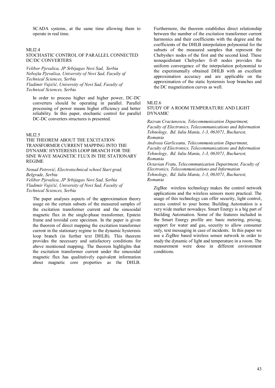SCADA systems, at the same time allowing them to operate in real time.

### MLI2.4

# STOCHASTIC CONTROL OF PARALLEL CONNECTED DC/DC CONVERTERS

*Velibor Pjevalica, JP Srbijagas Novi Sad, Serbia Nebojša Pjevalica, University of Novi Sad, Faculty of Technical Sciences, Serbia Vladimir Vujičić, University of Novi Sad, Faculty of Technical Sciences, Serbia* 

In order to process higher and higher power, DC-DC converters should be operating in parallel. Parallel processing of power means higher efficiency and better reliability. In this paper, stochastic control for parallel DC-DC converters structures is presented.

#### MLI2.5

THE THEOREM ABOUT THE EXCITATION TRANSFORMER CURRENT MAPPING INTO THE DYNAMIC HYSTERESIS LOOP BRANCH FOR THE SINE WAVE MAGNETIC FLUX IN THE STATIONARY REGIME

*Nenad Petrović, Electrotechnical school Stari grad, Belgrade, Serbia Velibor Pjevalica, JP Srbijagas Novi Sad, Serbia Vladimir Vujičić, University of Novi Sad, Faculty of Technical Sciences, Serbia* 

The paper analyses aspects of the approximation theory usage on the certain subsets of the measured samples of the excitation transformer current and the sinusoidal magnetic flux in the single-phase transformer, Epstein frame and toroidal core specimen. In the paper is given the theorem of direct mapping the excitation transformer current in the stationary regime to the dynamic hysteresis loop branch (in further text DHLB). This theorem provides the necessary and satisfactory conditions for above mentioned mapping. The theorem highlights that the excitation transformer current under the sinusoidal magnetic flux has qualitatively equivalent information about magnetic core properties as the DHLB.

Furthermore, the theorem establishes direct relationship between the number of the excitation transformer current harmonics and their coefficients with the degree and the coefficients of the DHLB interpolation polynomial for the subsets of the measured samples that represent the Chebyshev nodes of the first and the second kind. These nonequidistant Chebyshev fi-i0 nodes provides the uniform convergence of the interpolation polynomial to the experimentally obtained DHLB with an excellent approximation accuracy and are applicable on the approximation of the static hysteresis loop branches and the DC magnetization curves as well.

#### MLI2.6

STUDY OF A ROOM TEMPERATURE AND LIGHT DYNAMIC

*Razvan Craciunescu, Telecommunication Department, Faculty of Electronics, Telecommunications and Information Tehnology, Bd. Iuliu Maniu, 1-3, 061071, Bucharest, Romania* 

*Andreea Garliceanu, Telecommunication Department, Faculty of Electronics, Telecommunications and Information Tehnology, Bd. Iuliu Maniu, 1-3, 061071, Bucharest, Romania* 

*Octavian Fratu, Telecommunication Department, Faculty of Electronics, Telecommunications and Information Tehnology, Bd. Iuliu Maniu, 1-3, 061071, Bucharest, Romania* 

ZigBee wireless technology makes the control network applications and the wireless sensors more practical. The usage of this technology can offer security, light control, access control to your home. Building Automation is a very wide market nowadays. Smart Energy is a big part of Building Automation. Some of the features included in the Smart Energy profile are: basic metering, pricing, support for water and gas, security to allow consumer only, text messaging in case of incidents. In this paper we use a ZigBee based wireless sensor network in order to study the dynamic of light and temperature in a room. The measurement were done in different environment conditions.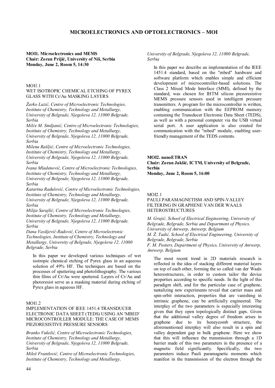# **MICROELECTRONICS AND OPTOELECTRONICS – MOI**

# **MOI1. Microelectronics and MEMS Chair: Zoran Prijić, University of Niš, Serbia Monday, June 2, Room 5, 14:30**

#### MOI1.1

#### WET ISOTROPIC CHEMICAL ETCHING OF PYREX GLASS WITH Cr/Au MASKING LAYERS

*Žarko Lazić, Centre of Microelectronic Technologies, Institute of Chemistry, Technology and Metallurgy, University of Belgrade, Njegoševa 12, 11000 Belgrade, Serbia* 

*Milče M. Smiljanić, Centre of Microelectronic Technologies, Institute of Chemistry, Technology and Metallurgy, University of Belgrade, Njegoševa 12, 11000 Belgrade, Serbia* 

*Milena Rašljić, Centre of Microelectronic Technologies, Institute of Chemistry, Technology and Metallurgy, University of Belgrade, Njegoševa 12, 11000 Belgrade, Serbia* 

*Ivana Mladenović, Centre of Microelectronic Technologies, Institute of Chemistry, Technology and Metallurgy, University of Belgrade, Njegoševa 12, 11000 Belgrade, Serbia* 

*Katarina Radulović, Centre of Microelectronic Technologies, Institute of Chemistry, Technology and Metallurgy, University of Belgrade, Njegoševa 12, 11000 Belgrade, Serbia* 

*Milija Sarajlić, Centre of Microelectronic Technologies, Institute of Chemistry, Technology and Metallurgy, University of Belgrade, Njegoševa 12, 11000 Belgrade, Serbia* 

*Dana Vasiljević-Radović, Centre of Microelectronic Technologies, Institute of Chemistry, Technology and Metallurgy, University of Belgrade, Njegoševa 12, 11000 Belgrade, Serbia* 

In this paper we developed various techniques of wet isotropic chemical etching of Pyrex glass in an aqueous solution of 49% HF. The techniques are based on the processes of sputtering and photolithography. The various thin films of Cr/Au were sputtered. Layers of Cr/Au and photoresist serve as a masking material during etching of Pyrex glass in aqueous HF.

# MOI1.2

# IMPLEMENTATION OF IEEE 1451.4 TRANSDUCER ELECTRONIC DATA SHEET (TEDS) USING AN 'MBED' MICROCONTROLLER MODULE: THE CASE OF MEMS PIEZORESISTIVE PRESSURE SENSORS

*Branko Vukelić, Centre of Microelectronic Technologies, Institute of Chemistry, Technology and Metallurgy, University of Belgrade, Njegoševa 12, 11000 Belgrade, Serbia* 

*Miloš Frantlović, Centre of Microelectronic Technologies, Institute of Chemistry, Technology and Metallurgy,* 

#### *University of Belgrade, Njegoševa 12, 11000 Belgrade, Serbia*

In this paper we describe an implementation of the IEEE 1451.4 standard, based on the "mbed" hardware and software platform which enables simple and efficient development of microcontroller-based solutions. The Class 2 Mixed Mode Interface (MMI), defined by the standard, was chosen for IHTM silicon piezoresistive MEMS pressure sensors used in intelligent pressure transmitters. A program for the microcontroller is written, enabling communication with the EEPROM memory containing the Transducer Electronic Data Sheet (TEDS), as well as with a personal computer via the USB virtual serial port. A user application is also created for communication with the "mbed" module, enabling userfriendly management of the TEDS contents.

**MOI2. nanoETRAN Chair: Zoran Jakšić, ICTM, University of Belgrade, Serbia Monday, June 2, Room 5, 16:00** 

#### MOI2.1

#### PAULI PARAMAGNETISM AND SPIN-VALLEY FILTERING IN GRAPHENE VAN DER WAALS HETEROSTRUCTURES

*M. Grujić, School of Electrical Engineering, University of Belgrade, Belgrade, Serbia and Department of Physics, University of Antwerp, Antwerp, Belgium M. Ž. Tadić, School of Electrical Engineering, University of Belgrade, Belgrade, Serbia F. M. Peeters, Department of Physics, University of Antwerp,* 

*Antwerp, Belgium* 

The most recent trend in 2D materials research is reflected in the idea of stacking different material layers on top of each other, forming the so called van der Waals heterostructures, in order to custom tailor the device properties according to specific needs. In the light of this paradigm shift, and for the particular case of graphene, tantalizing new experiments reveal that carrier mass and spin-orbit interaction, properties that are vanishing in intrinsic graphene, can be artificially engineered. The interplay of the two parameters is especially interesting given that they open topologically distinct gaps. Given that the additional valley degree of freedom arises in graphene due to its honeycomb structure, the aforementioned interplay will also result in a spin and valley dependent gap in bulk graphene. Here we show that this will influence the transmission through a 1D barrier made of this two parameters in the presence of a magnetic field significantly. Specifically, the two parameters induce Pauli paramagnetic moments which manifest in the transmission of the electron through the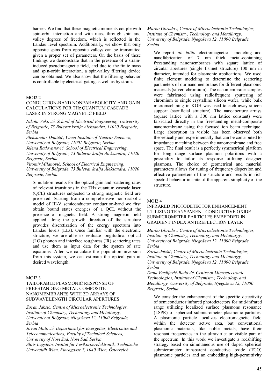barrier. We find that these magnetic moments couple with spin-orbit interaction and with mass through spin and valley degrees of freedom, which is reflected in the Landau level spectrum. Additionally, we show that only opposite spins from opposite valleys can be transmitted given a proper set of parameters. On the basis of these findings we demonstrate that in the presence of a straininduced pseudomagnetic field, and due to the finite mass and spin-orbit interaction, a spin-valley filtering device can be obtained. We also show that the filtering behavior is controllable by electrical gating as well as by strain.

# MOI2.2

#### CONDUCTION-BAND NONPARABOLICITY AND GAIN CALCULATIONS FOR THz QUANTUM CASCADE LASER IN STRONG MAGNETIC FIELD

*Nikola Vuković, School of Electrical Engineering, University of Belgrade, 73 Bulevar kralja Aleksandra, 11020 Belgrade, Serbia* 

*Aleksandar Daničić, Vinca Institute of Nuclear Sciences, University of Belgrade, 11001 Belgrade, Serbia Jelena Radovanović, School of Electrical Engineering, University of Belgrade, 73 Bulevar kralja Aleksandra, 11020 Belgrade, Serbia* 

*Vitomir Milanović, School of Electrical Engineering, University of Belgrade, 73 Bulevar kralja Aleksandra, 11020 Belgrade, Serbia* 

Simulation results for the optical gain and scattering rates of relevant transitions in the THz quantum cascade laser (QCL) structures subjected to strong magnetic field are presented. Starting from a comprehensive nonparabolic model of III-V semiconductor conduction-band we first obtain bound states energies of a QCL without the presence of magnetic field. A strong magnetic field applied along the growth direction of the structure provides discretization of the energy spectrum into Landau levels (LLs). Once familiar with the electronic structure, we are able to evaluate longitudinal optical (LO) phonon and interface roughness (IR) scattering rates and use them as input data for the system of rate equations. After we calculate the population inversion from this system, we can estimate the optical gain at desired wavelength.

#### MOI2.3

# TAILORABLE PLASMONIC RESPONSE OF FREESTANDING METAL-COMPOSITE NANOMEMBRANES WITH 2D ARRAYS OF SUBWAVELENGTH CIRCULAR APERTURES

*Zoran Jakšić, Centre of Microelectronic Technologies, Institute of Chemistry, Technology and Metallurgy, University of Belgrade, Njegoševa 12, 11000 Belgrade, Serbia* 

*Jovan Matović, Department for Energetics, Electronics and Telecommunications, Faculty of Technical Sciences, University of Novi Sad, Novi Sad, Serbia* 

*Alois Lugstein, Institut für Festkörperelektronik, Technische Universität Wien, Floragasse 7, 1040 Wien, Österreich* 

*Marko Obradov, Centre of Microelectronic Technologies, Institute of Chemistry, Technology and Metallurgy, University of Belgrade, Njegoševa 12, 11000 Belgrade, Serbia* 

We report *ab initio* electromagnetic modeling and nanofabrication of 7 nm thick metal-containing freestanding nanomembranes with square lattice of circular apertures (single fishnet structure) 100 nm in diameter, intended for plasmonic applications. We used finite element modeling to determine the scattering parameters of our nanomembranes for different plasmonic materials (silver, chromium). The nanomembrane samples were fabricated using radiofrequent sputtering of chromium to single crystalline silicon wafer, while bulk micromachining in KOH was used to etch away silicon support (sacrificial structure). The nanoaperture arrays (square lattice with a 300 nm lattice constant) were fabricated directly in the freestanding metal-composite nanomembrane using the focused ion beam technique. Large absorption in visible has been observed both theoretically and experimentally that can be contributed to impedance matching between the nanomembrane and free space. The final result is a perfectly symmetrical platform for long range surface plasmon polaritons with a possibility to tailor its response utilizing designer plasmons. The choice of geometrical and material parameters allows for tuning of frequency dispersion and effective parameters of the structure and results in rich spectral behavior in spite of the apparent simplicity of the structure.

#### MOI2.4

# INFRARED PHOTODETECTOR ENHANCEMENT UTILIZING TRANSPARENT CONDUCTIVE OXIDE SUBMICROMETER PARTICLES EMBEDDED IN GRADIENT INDEX ANTIREFLECTION LAYER

*Marko Obradov, Centre of Microelectronic Technologies, Institute of Chemistry, Technology and Metallurgy, University of Belgrade, Njegoševa 12, 11000 Belgrade, Serbia* 

*Zoran Jakšić, Centre of Microelectronic Technologies, Institute of Chemistry, Technology and Metallurgy, University of Belgrade, Njegoševa 12, 11000 Belgrade, Serbia* 

*Dana Vasiljević-Radović, Centre of Microelectronic Technologies, Institute of Chemistry, Technology and Metallurgy, University of Belgrade, Njegoševa 12, 11000 Belgrade, Serbia* 

We consider the enhancement of the specific detectivity of semiconductor infrared photodetectors for mid-infrared range utilizing localized surface plasmons resonance (LSPR) of spherical submicrometer plasmonic particles. A plasmonic particle localizes electromagnetic field within the detector active area, but conventional plasmonic materials, like noble metals, have their resonant frequencies in the ultraviolet or visible part of the spectrum. In this work we investigate a redshifting strategy based on simultaneous use of doped spherical submicrometer transparent conductive oxide (TCO) plasmonic particles and an embedding high-permittivity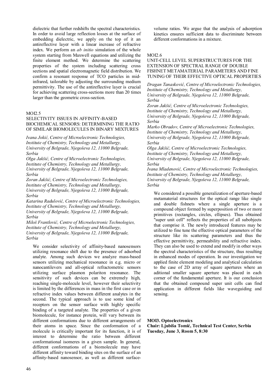dielectric that further redshifts the spectral characteristics. In order to avoid large reflection losses at the surface of embedding dielectric, we apply on the top of it an antireflective layer with a linear increase of refractive index. We perform an *ab initio* simulation of the whole system starting from Maxwell equations and utilizing the finite element method. We determine the scattering properties of the system including scattering cross sections and spatial electromagnetic field distribution. We confirm a resonant response of TCO particles in midinfrared, tailorable by adjusting the surrounding medium permittivity. The use of the antireflective layer is crucial for achieving scattering cross-sections more than 20 times larger than the geometric cross-section.

#### MOI2.5

#### SELECTIVITY ISSUES IN AFFINITY-BASED BIOCHEMICAL SENSORS: DETERMINING THE RATIO OF SIMILAR BIOMOLECULES IN BINARY MIXTURES

*Ivana Jokić, Centre of Microelectronic Technologies, Institute of Chemistry, Technology and Metallurgy, University of Belgrade, Njegoševa 12, 11000 Belgrade, Serbia* 

*Olga Jakšić, Centre of Microelectronic Technologies, Institute of Chemistry, Technology and Metallurgy, University of Belgrade, Njegoševa 12, 11000 Belgrade, Serbia* 

*Zoran Jakšić, Centre of Microelectronic Technologies, Institute of Chemistry, Technology and Metallurgy, University of Belgrade, Njegoševa 12, 11000 Belgrade, Serbia* 

*Katarina Radulović, Centre of Microelectronic Technologies, Institute of Chemistry, Technology and Metallurgy, University of Belgrade, Njegoševa 12, 11000 Belgrade, Serbia* 

*Miloš Frantlović, Centre of Microelectronic Technologies, Institute of Chemistry, Technology and Metallurgy, University of Belgrade, Njegoševa 12, 11000 Belgrade, Serbia* 

We consider selectivity of affinity-based nanosensors utilizing resonance shift due to the presence of adsorbed analyte. Among such devices we analyze mass-based sensors utilizing mechanical resonance in e.g. micro or nanocantilevers and all-optical refractometric sensors utilizing surface plasmon polariton resonance. The sensitivity of such devices can be extremely high, reaching single-molecule level, however their selectivity is limited by the differences in mass in the first case or in refractive index values between different analytes in the second. The typical approach is to use some kind of receptors on the sensor surface with highly specific binding of a targeted analyte. The properties of a given biomolecule, for instance protein, will vary between its different conformations due to different arrangements of their atoms in space. Since the conformation of a molecule is critically important for its function, it is of interest to determine the ratio between different conformational isomeres in a given sample. In general, different conformations of a biomolecule may have different affinity toward binding sites on the surface of an affinity-based nanosensor, as well as different surfacevolume ratios. We argue that the analysis of adsorption kinetics ensures sufficient data to discriminate between different conformations in a mixture.

### MOI2.6

# UNIT-CELL LEVEL SUPERSTRUCTURES FOR THE EXTENSION OF SPECTRAL RANGE OF DOUBLE FISHNET METAMATERIAL PARAMETERS AND FINE TUNING OF THEIR EFFECTIVE OPTICAL PROPERTIES

*Dragan Tanasković, Centre of Microelectronic Technologies, Institute of Chemistry, Technology and Metallurgy, University of Belgrade, Njegoševa 12, 11000 Belgrade, Serbia* 

*Zoran Jakšić, Centre of Microelectronic Technologies, Institute of Chemistry, Technology and Metallurgy, University of Belgrade, Njegoševa 12, 11000 Belgrade, Serbia* 

*Marko Obradov, Centre of Microelectronic Technologies, Institute of Chemistry, Technology and Metallurgy, University of Belgrade, Njegoševa 12, 11000 Belgrade, Serbia* 

*Olga Jakšić, Centre of Microelectronic Technologies, Institute of Chemistry, Technology and Metallurgy, University of Belgrade, Njegoševa 12, 11000 Belgrade, Serbia* 

*Ivana Mladenović, Centre of Microelectronic Technologies, Institute of Chemistry, Technology and Metallurgy, University of Belgrade, Njegoševa 12, 11000 Belgrade, Serbia* 

We considered a possible generalization of aperture-based metamaterial structures for the optical range like single and double fishnets where a single aperture is a compound object formed by superposition of two or more primitives (rectangles, circles, ellipses). Thus obtained "super unit cell" reflects the properties of all subobjects that comprise it. The newly introduced features may be utilized to fine tune the effective optical parameters of the structure like its scattering parameters and thus the effective permittivity, permeability and refractive index. They can also be used to extend and modify in other ways the spectral characteristics of the structure, thus resulting in enhanced modes of operation. In our investigation we applied finite element modeling and analytical calculation to the case of 2D array of square apertures where an aditional smaller square aperture was placed in each corner of the fundamental aperture. It is our conclusion that the obtained compound super unit cells can find application in different fields like waveguiding and sensing.

# **MOI3. Optoelectronics**

**Chair: Ljubiša Tomić, Technical Test Center, Serbia Tuesday, June 3, Room 5, 8:30**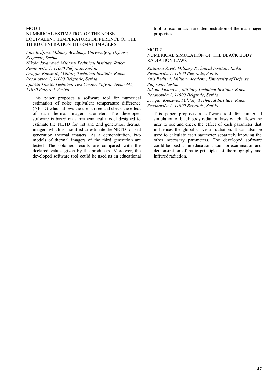# MO<sub>I3</sub>1

# NUMERICAL ESTIMATION OF THE NOISE EQUIVALENT TEMPERATURE DIFFERENCE OF THE THIRD GENERATION THERMAL IMAGERS

*Anis Redjimi, Military Academy, University of Defense, Belgrade, Serbia* 

*Nikola Jovanović, Military Technical Institute, Ratka Resanovića 1, 11000 Belgrade, Serbia Dragan Knežević, Military Technical Institute, Ratka Resanovića 1, 11000 Belgrade, Serbia Ljubiša Tomić, Technical Test Center, Vojvode Stepe 445, 11020 Beograd, Serbia* 

This paper proposes a software tool for numerical estimation of noise equivalent temperature difference (NETD) which allows the user to see and check the effect of each thermal imager parameter. The developed software is based on a mathematical model designed to estimate the NETD for 1st and 2nd generation thermal imagers which is modified to estimate the NETD for 3rd generation thermal imagers. As a demonstration, two models of thermal imagers of the third generation are tested. The obtained results are compared with the declared values given by the producers. Moreover, the developed software tool could be used as an educational tool for examination and demonstration of thermal imager properties.

#### MOI3.2

#### NUMERICAL SIMULATION OF THE BLACK BODY RADIATION LAWS

*Katarina Savić, Military Technical Institute, Ratka Resanovića 1, 11000 Belgrade, Serbia Anis Redjimi, Military Academy, University of Defense, Belgrade, Serbia Nikola Jovanović, Military Technical Institute, Ratka Resanovića 1, 11000 Belgrade, Serbia Dragan Knežević, Military Technical Institute, Ratka Resanovića 1, 11000 Belgrade, Serbia* 

This paper proposes a software tool for numerical simulation of black body radiation laws which allows the user to see and check the effect of each parameter that influences the global curve of radiation. It can also be used to calculate each parameter separately knowing the other necessary parameters. The developed software could be used as an educational tool for examination and demonstration of basic principles of thermography and infrared radiation.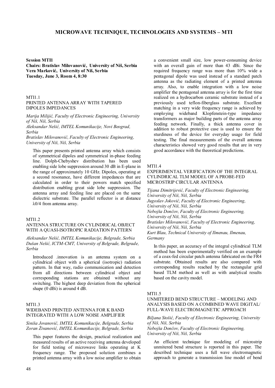# **MICROWAVE TECHNIQUE, TECHNOLOGIES AND SYSTEMS – MTI**

**Session MTI1** 

**Chairs: Bratislav Milovanović, University of Niš, Serbia Vera Marković, University of Niš, Serbia Tuesday, June 3, Room 4, 8:30** 

# MTI1.1

#### PRINTED ANTENNA ARRAY WITH TAPERED DIPOLES IMPEDANCES

*Marija Milijić, Faculty of Electronic Engineering, University of Niš, Niš, Serbia* 

*Aleksandar Nešić, IMTEL Komunikacije, Novi Beograd, Serbia* 

*Bratislav Milovanović, Faculty of Electronic Engineering, University of Niš, Niš, Serbia* 

This paper presents printed antenna array which consists of symmetrical dipoles and symmetrical in-phase feeding line. Dolph-Chebyshev distribution has been used enabling side lobe suppression around 30 dB in E-plane in the range of approximately 10 GHz. Dipoles, operating at a second resonance, have different impedances that are calculated in order to their powers match specified distribution enabling great side lobe suppression. The antenna array and feeding line are placed on the same dielectric substrate. The parallel reflector is at distance λ0/4 from antenna array.

#### MTI1.2

#### ANTENNA STRUCTURE ON CYLINDRICAL OBJECT WITH A QUASI-ISOTROPIC RADIATION PATTERN

*Aleksandar Nešić, IMTEL Komunikacije, Belgrade, Serbia Dušan Nešić, ICTM-CMT, University of Belgrade, Belgrade, Serbia* 

Introduced .innovation is an antenna system on a cylindrical object with a spherical (isotropic) radiation pattern. In that way, radio communication and detection from all directions between cylindrical object and corresponding stations are obtained without any switching. The highest deep deviation from the spherical shape  $(0$  dBi) is around 4 dB.

# MTI1.3 WIDEBAND PRINTED ANTENNA FOR K BAND INTEGRATED WITH A LOW NOISE AMPLIFIER

*Siniša Jovanović, IMTEL Komunikacije, Belgrade, Serbia Zoran Živanović, IMTEL Komunikacije, Belgrade, Serbia* 

This paper features the design, practical realization and measured results of an active receiving antenna developed for field testing of microwave links operating at K frequency range. The proposed solution combines a printed antenna array with a low noise amplifier to obtain a convenient small size, low power-consuming device with an overall gain of more than 43 dBi. Since the required frequency range was more than 10% wide a pentagonal dipole was used instead of a standard patch antenna as the radiating element of a printed antenna array. Also, to enable integration with a low noise amplifier the pentagonal antenna array is for the first time realized on a hydrocarbon ceramic substrate instead of a previously used teflon-fiberglass substrate. Excellent matching in a very wide frequency range is achieved by employing wideband Klopfenstein-type impedance transformers as major building parts of the antenna array feeding network. Finally, a thick antenna cover in addition to robust protective case is used to ensure the sturdiness of the device for everyday usage for field testing. The final measurements of the overall antenna characteristics showed very good results that are in very good accordance with the theoretical predictions.

#### MTI1.4

EXPERIMENTAL VERIFICATION OF THE INTEGRAL CYLINDRICAL TLM MODEL OF A PROBE-FED MICROSTRIP CIRCULAR ANTENNA

*Tijana Dimitrijević, Faculty of Electronic Engineering, University of Niš, Niš, Serbia Jugoslav Joković, Faculty of Electronic Engineering, University of Niš, Niš, Serbia Nebojša Dončov, Faculty of Electronic Engineering, University of Niš, Niš, Serbia Bratislav Milovanović, Faculty of Electronic Engineering, University of Niš, Niš, Serbia Kurt Blau, Technical University of Ilmenau, Ilmenau, Germany* 

In this paper, an accuracy of the integral cylindrical TLM method has been experimentally verified on an example of a coax-fed circular patch antenna fabricated on the FR4 substrate. Obtained results are also compared with corresponding results reached by the rectangular grid based TLM method as well as with analytical results based on the cavity model.

#### MTI1.5

# UNMITERED BEND STRUCTURE – MODELING AND ANALYSIS BASED ON A COMBINED WAVE DIGITAL/ FULL-WAVE ELECTROMAGNETIC APPROACH

*Biljana Stošić, Faculty of Electronic Engineering, University of Niš, Niš, Serbia* 

*Nebojša Dončov, Faculty of Electronic Engineering, University of Niš, Niš, Serbia* 

An efficient technique for modeling of microstrip unmitered bend structure is reported in this paper. The described technique uses a full wave electromagnetic approach to generate a transmission line model of bend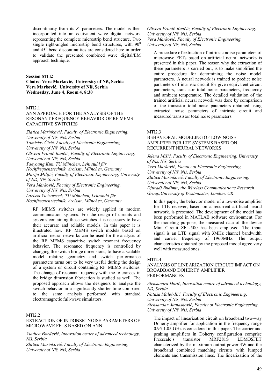discontinuity from its *S*- parameters. The model is then incorporated into an equivalent wave digital network representing the complete microstrip bend structure. Two single right-angled microstrip bend structures, with  $90^0$ and  $45<sup>0</sup>$  bend discontinuities are considered here in order to validate the presented combined wave digital/EM approach technique.

#### **Session MTI2**

**Chairs: Vera Marković, University of Niš, Serbia Vera Marković, University of Niš, Serbia Wednesday, June 4, Room 4, 8:30** 

# MTI<sub>2</sub>1

# ANN APPROACH FOR THE ANALYSIS OF THE RESONANT FREQUENCY BEHAVIOR OF RF MEMS CAPACITIVE SWITCHES

*Zlatica Marinković, Faculty of Electronic Engineering, University of Niš, Niš, Serbia Tomislav Ćirić, Faculty of Electronic Engineering, University of Niš, Niš, Serbia Olivera Pronić-Rančić, Faculty of Electronic Engineering, University of Niš, Niš, Serbia Taeyoung Kim, TU München, Lehrstuhl für Hochfrequenztechnik, Arcisstr. München, Germany Marija Milijić, Faculty of Electronic Engineering, University of Niš, Niš, Serbia Vera Marković, Faculty of Electronic Engineering, University of Niš, Niš, Serbia Larissa Vietzorreck, TU München, Lehrstuhl für Hochfrequenztechnik, Arcisstr. München, Germany* 

RF MEMS switches are widely applied in modern communication systems. For the design of circuits and systems containing these switches it is necessary to have their accurate and reliable models. In this paper it is illustrated how RF MEMS switch models based on artificial neural networks can be used for the analysis of the RF MEMS capacitive switch resonant frequency behavior. The resonance frequency is controlled by changing the switch bridge dimensions, to have a scalable model relating geometry and switch performance parameters turns out to be very useful during the design of a system or circuit containing RF MEMS switches. The change of resonant frequency with the tolerances in the bridge dimension fabrication is studied as well. The proposed approach allows the designers to analyze the switch behavior in a significantly shorter time compared to the same analysis performed with standard electromagnetic full-wave simulators.

#### MTI2.2

EXTRACTION OF INTRINSIC NOISE PARAMETERS OF MICROWAVE FETS BASED ON ANN

*Vladica Đorđević, Innovation centre of advanced technology, Niš, Serbia* 

*Zlatica Marinković, Faculty of Electronic Engineering, University of Niš, Niš, Serbia* 

*Olivera Pronić-Rančić, Faculty of Electronic Engineering, University of Niš, Niš, Serbia Vera Marković, Faculty of Electronic Engineering, University of Niš, Niš, Serbia* 

A procedure of extraction of intrinsic noise parameters of microwave FETs based on artificial neural networks is presented in this paper. The reason why the extraction of these parameters is carried out, is to make simplified the entire procedure for determining the noise model parameters. A neural network is trained to predict noise parameters of intrinsic circuit for given equivalent circuit parameters, transistor total noise parameters, frequency and ambient temperature. The detailed validation of the trained artificial neural network was done by comparison of the transistor total noise parameters obtained using extracted noise parameters of intrinsic circuit and measured transistor total noise parameters.

#### MTI2.3

# BEHAVIORAL MODELING OF LOW NOISE AMPLIFIER FOR LTE SYSTEMS BASED ON RECURRENT NEURAL NETWORKS

*Jelena Mišić, Faculty of Electronic Engineering, University of Niš, Niš, Serbia Vera Marković, Faculty of Electronic Engineering, University of Niš, Niš, Serbia Zlatica Marinković, Faculty of Electronic Engineering, University of Niš, Niš, Serbia Djuradj Budimir, the Wireless Communications Research Group,University of Westminster, London, UK* 

In this paper, the behavior model of a low-noise amplifier for LTE receiver, based on a recurrent artificial neural network, is presented. The development of the model has been performed in MATLAB software environment. For the modeling purpose, the measured data of the device Мini Circuit ZFL-500 has been employed. The input signal is an LTE signal with 3MHz channel bandwidth and carrier frequency of 1960MHz. The output characteristics obtained by the proposed model agree very well with measured ones.

#### MTI2.4

#### ANALYSIS OF LINEARIZATION CIRCUIT IMPACT ON BROADBAND DOHERTY AMPLIFIER PERFORMANCES

#### *Aleksandra Đorić, Innovation centre of advanced technology, Niš, Serbia*

*Nataša Maleš-Ilić, Faculty of Electronic Engineering, University of Niš, Niš, Serbia Aleksandar Atanasković, Faculty of Electronic Engineering, University of Niš, Niš, Serbia* 

The impact of linearization circuit on broadband two-way Doherty amplifier for application in the frequency range 0.95-1.05 GHz is considered in this paper. The carrier and peaking amplifiers in Doherty configuration comprise Freescale's transistor MRF281S LDMOSFET characterized by the maximum output power 4W and the broadband combined matching circuits with lumped elements and transmission lines. The linearization of the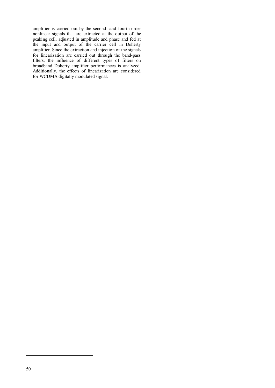amplifier is carried out by the second- and fourth-order nonlinear signals that are extracted at the output of the peaking cell, adjusted in amplitude and phase and fed at the input and output of the carrier cell in Doherty amplifier. Since the extraction and injection of the signals for linearization are carried out through the band-pass filters, the influence of different types of filters on broadband Doherty amplifier performances is analyzed. Additionally, the effects of linearization are considered for WCDMA digitally modulated signal.

-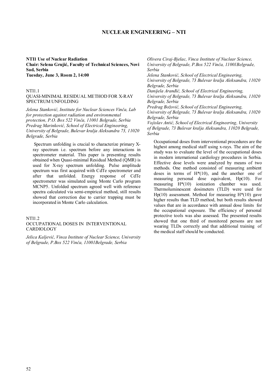# **NUCLEAR ENGINEERING – NTI**

#### **NTI1 Use of Nuclear Radiation Chair: Selena Grujić, Faculty of Technical Sciences, Novi Sad, Serbia Tuesday, June 3, Room 2, 14:00**

#### NTI1.1

# QUASI-MINIMAL RESIDUAL METHOD FOR X-RAY SPECTRUM UNFOLDING

*Jelena Stanković, Institute for Nuclear Sciences Vinča, Lab for protection against radiation and environmental protection, P.O. Box 522 Vinča, 11001 Belgrade, Serbia Predrag Marinković, School of Electrical Engineering, University of Belgrade, Bulevar kralja Aleksandra 73, 11020 Belgrade, Serbia* 

 Spectrum unfolding is crucial to characterize primary Xray spectrum i.e. spectrum before any interactions in spectrometer material. This paper is presenting results obtained when Quasi-minimal Residual Method (QMR) is used for X-ray spectrum unfolding. Pulse amplitude spectrum was first acquired with CdTe spectrometer and after that unfolded. Energy response of CdTe spectrometer was simulated using Monte Carlo program MCNP5. Unfolded spectrum agreed well with reference spectra calculated via semi-empirical method, still results showed that correction due to carrier trapping must be incorporated in Monte Carlo calculation.

#### NTI1.2

#### OCCUPATIONAL DOSES IN INTERVENTIONAL CARDIOLOGY

*Jelica Kaljević, Vinca Institute of Nuclear Science, University of Belgrade, P.Box 522 Vinča, 11001Belgrade, Serbia* 

*Olivera Ciraj-Bjelac, Vinca Institute of Nuclear Science, University of Belgrade, P.Box 522 Vinča, 11001Belgrade, Serbia* 

*Jelena Stanković, School of Electrical Engineering,* 

*University of Belgrade, 73 Bulevar kralja Aleksandra, 11020 Belgrade, Serbia* 

*Danijela Aranđić, School of Electrical Engineering,* 

*University of Belgrade, 73 Bulevar kralja Aleksandra, 11020 Belgrade, Serbia* 

*Predrag Božović, School of Electrical Engineering, University of Belgrade, 73 Bulevar kralja Aleksandra, 11020 Belgrade, Serbia* 

*Vojislav Antić, School of Electrical Engineering, University of Belgrade, 73 Bulevar kralja Aleksandra, 11020 Belgrade, Serbia* 

Occupational doses from interventional procedures are the highest among medical staff using x-rays. The aim of the study was to evaluate the level of the occupational doses in modern international cardiology procedures in Serbia. Effective dose levels were analyzed by means of two methods. One method consisted of measuring ambient doses in terms of  $H^*(10)$ , and the another one of measuring personal dose equivalent, Hp(10). For measuring H\*(10) ionization chamber was used. Thermoluminescent dosimeters (TLD) were used for Hp(10) assessment. Method for measuring  $H^*(10)$  gave higher results than TLD method, but both results showed values that are in accordance with annual dose limits for the occupational exposure. The efficiency of personal protective tools was also assessed. The presented results showed that one third of monitored persons are not wearing TLDs correctly and that additional training of the medical staff should be conducted.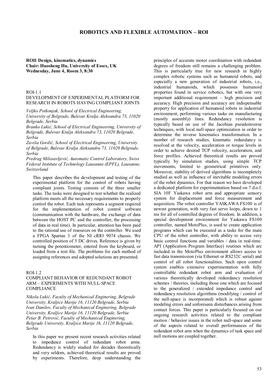# **ROBOTICS AND FLEXIBLE AUTOMATION – ROI**

**ROI1 Design, kinematics, dynamics Chair: Huosheng Hu, University of Essex, UK Wednesday, June 4, Room 3, 8:30** 

# ROI-1.1

# DEVELOPMENT OF EXPERIMENTAL PLATFORM FOR RESEARCH IN ROBOTS HAVING COMPLIANT JOINTS

*Veljko Potkonjak, School of Electrical Engineering, University of Belgrade, Bulevar Kralja Aleksandra 73, 11020 Belgrade, Serbia* 

*Branko Lukić, School of Electrical Engineering, University of Belgrade, Bulevar Kralja Aleksandra 73, 11020 Belgrade, Serbia* 

*Zaviša Gordić, School of Electrical Engineering, University of Belgrade, Bulevar Kralja Aleksandra 73, 11020 Belgrade, Serbia* 

*Predrag Milosavljević, Automatic Control Laboratory, Swiss Federal Institute of Technology Lausanne (EPFL), Lausanne, Switzerland* 

This paper describes the development and testing of the experimental platform for the control of robots having compliant joints. Testing consists of the three smaller tasks. The tasks were designed to test whether the realized platform meets all the necessary requirements to properly control the robot. Each task represents a segment required for the implementation of robot control software (communication with the hardware, the exchange of data between the HOST PC and the controller, the processing of data in real time). In particular, attention has been paid to the rational use of resources on the controller. We used a FPGA Spartan 3 of the NI cRIO 9074 chassis. We controlled position of 5 DC drives. Reference is given by turning the potentiometer, entered from the keyboard, or loaded from a text file. The problems for each method of assigning references and adopted solutions are presented.

#### ROI-1.2

#### COMPLIANT BEHAVIOR OF REDUNDANT ROBOT ARM – EXPERIMENTS WITH NULL-SPACE **COMPLIANCE**

*Nikola Lukić, Faculty of Mechanical Enginering, Belgrade University, Kraljice Marije 16, 11120 Belgrade, Serbia Ivan Danilov, Faculty of Mechanical Enginering, Belgrade University, Kraljice Marije 16, 11120 Belgrade, Serbia Petar B. Petrović, Faculty of Mechanical Enginering, Belgrade University, Kraljice Marije 16, 11120 Belgrade, Serbia* 

In this paper we present recent research activities related to impedance control of redundant robot arms. Redundancy is widely studied for decades theoretically and very seldom, achieved theoretical results are proved by experiments. Therefore, deep understanding the

principles of accurate motor coordination with redundant degrees of freedom still remains a challenging problem. This is particularly true for new research in highly complex robotic systems such as humanoid robots, and especially a new generation of industrial robots, i.e., industrial humanoids, which possesses humanoid properties found in service robotics, but with one very important additional requirement – high precision and accuracy. High precision and accuracy are indispensable property for application of humanoid robots in industrial environment, performing various tasks on manufacturing (mostly assembly) lines. Redundancy resolution is typically based on use of the Jacobian pseudoinverse techniques, with local null-space optimization in order to determine the inverse kinematics transformation. In a number of research studies, kinematic redundancy is resolved at the velocity, acceleration or torque levels in order to achieve desired TCP velocity, acceleration, and force profiles. Achieved theoretical results are proved typically by simulation studies, using simple TCP movements, limited to geometrical primitives only. Moreover, stability of derived algorithms is incompletely studied as well as influence of inevitable modeling errors of the robot dynamics. For that reason we have developed a dedicated platform for experimentation based on 7 d.o.f. SIA 10F Yaskawa robot arm and appropriate sensory system for displacement and force measurement and acquisition. The robot controller YASKAWA FS100 is of newest generation, with very fast servo loops, down to 1 ms for all of controlled degrees of freedom. In addition, a special development environment for Yaskawa FS100 controller, named MotoPlus, is used to create application programs which can be executed as a tasks for the main CPU of the robot controller, with ability to access very basic control functions and variables / data in real-time. API (Application Program Interface) routines which are included in the MotoPlus environment allows access to fast data transmission (via Ethernet or RS232C serial) and control of all robot functionalities. Such open control system enables extensive experimentation with fully controllable redundant robot arm and evaluation of various theoretically developed redundancy resolution schemes / theories, including those one which are focused to the generalized / extended impedance control and redundancy resolution algorithms (modifying / control of the null-space is incorporated) which is robust against modeling errors and unforeseen disturbances arising from contact forces. This paper is particularly focused on our ongoing research activities related to the compliant motion / behavior issues in the robot null-space and some of the aspects related to overall performances of the redundant robot arm when the dynamics of task space and null motions are coupled together.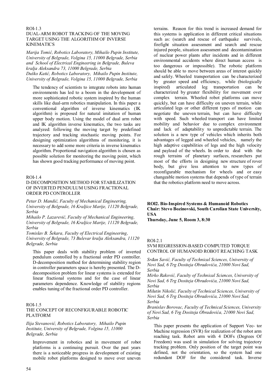# ROI-1.3 DUAL-ARM ROBOT TRACKING OF THE MOVING TARGET USING THE ALGORITHM OF INVERSE KINEMATICS

*Marija Tomić, Robotics Laboratory, Mihailo Pupin Institute, University of Belgrade, Volgina 15, 11000 Belgrade, Serbia and School of Electrical Engineering in Belgrade, Buleva kralja Aleksandra 73, 11000 Belgrade, Serbia Duško Katić, Robotics Laboratory, Mihailo Pupin Institute, University of Belgrade, Volgina 15, 11000 Belgrade, Serbia* 

The tendency of scientists to integrate robots into human environments has led to a boom in the development of more sophisticated robotic system inspired by the human skills like dual-arm robotics manipulation. In this paper a conventional algorithm of inverse kinematics (IK algorithm) is proposed for natural imitation of human upper body motion. Using the model of dual arm robot and IK algorithm inverse kinematics, the two tasks are analyzed: following the moving target by predefined trajectory and tracking stochastic moving points. For designing optimization algorithms of monitoring, it is necessary to add some more criteria in inverse kinematics algorithm. Proportional navigation algorithm is chosen as possible solution for monitoring the moving point, which has shown good tracking performance of moving point.

#### ROI-1.4

#### D-DECOMPOSITION METHOD FOR STABILIZATION OF INVERTED PENDULUM USING FRACTIONAL ORDER PD CONTROLLER

*Petar D. Mandić, Faculty of Mechanical Engineering, University of Belgrade, 16 Kraljice Marije, 11120 Belgrade, Serbia* 

*Mihailo P. Lazarević, Faculty of Mechanical Engineering, University of Belgrade, 16 Kraljice Marije, 11120 Belgrade, Serbia* 

*Tomislav B. Šekara, Faculty of Electrical Engineering, University of Belgrade, 73 Bulevar kralja Aleksandra, 11120 Belgrade, Serbia* 

This paper deals with stability problem of inverted pendulum controlled by a fractional order PD controller. D-decomposition method for determining stability region in controller parameters space is hereby presented. The Ddecomposition problem for linear systems is extended for linear fractional systems and for the case of linear parameters dependence. Knowledge of stability regions enables tuning of the fractional order PD controller.

### ROI-1.5 THE CONCEPT OF RECONFIGURABLE ROBOTIC PLATFORM

#### *Ilija Stevanović, Robotics Laboratory, Mihailo Pupin Institute, University of Belgrade, Volgina 15, 11000 Belgrade, Serbia*

Improvement in robotics and in movement of robot platforms is a continuing pursuit. Over the past years there is a noticeable progress in development of existing mobile robot platforms designed to move over uneven

terrains. Reason for this trend is increased demand for this systems is application in different critical situations such as: (search and rescue of earthquake survivals, firefight situation assessment and search and rescue injured people, situation assessment and decontamination of nuclear power plants after incidents and in different environmental accidents where direct human access is too dangerous or impossible). The robotic platform should be able to move between areas of interest quickly and safely. Wheeled transportation can be characterized by greater speed and efficiency, while (biologically inspired) articulated leg transportation can be characterized by greater flexibility for movement over complex terrain. Wheeled robot platforms can move quickly, but can have difficulty on uneven terrain, while articulated legs or other different types of motion can negotiate the uneven terrain, but can have difficulty with speed. Such wheeled transport can have limited mobility and behavior due to complex environment and lack of adaptability to unpredictable terrain. The solution is a new type of vehicles which inherits both advantages of legged and wheeled vehicles, namely the high adaptive capabilities of legs and the high velocity and payload of the wheels. In order to deal with the rough terrains of planetary surfaces, researchers put most of the efforts in designing new structure of rover body, but give less attention to new types of reconfigurable mechanism for wheels and or easy changeable motion systems that depends of type of terrain that the robotics platform need to move across.

# **ROI2. Bio-Inspired Systems & Humanoid Robotics Chair: Stevo Bozinovski, South Carolian State University, USA**

**Thursday, June 5, Room 3, 8:30** 

# ROI-2.1

SVM REGRESSION-BASED COMPUTED TORQUE CONTROL OF HUMANOID ROBOT REACHING TASK

*Srđan Savić, Faculty of Technical Sciences, University of Novi Sad, 6 Trg Dositeja Obradovića, 21000 Novi Sad, Serbia* 

*Mirko Raković, Faculty of Technical Sciences, University of Novi Sad, 6 Trg Dositeja Obradovića, 21000 Novi Sad, Serbia* 

*Milutin Nikolić, Faculty of Technical Sciences, University of Novi Sad, 6 Trg Dositeja Obradovića, 21000 Novi Sad, Serbia* 

*Branislav Borovac, Faculty of Technical Sciences, University of Novi Sad, 6 Trg Dositeja Obradovića, 21000 Novi Sad, Serbia* 

This paper presents the application of Support Vec- tor Machine regression (SVR) for realization of the robot arm reaching task. Robot arm with 4 DOFs (Degrees Of Freedom) was used in simulation for solving trajectory tracking problem. Only position of the target point was defined, not the orientation, so the system had one redundant DOF for the considered task. Inverse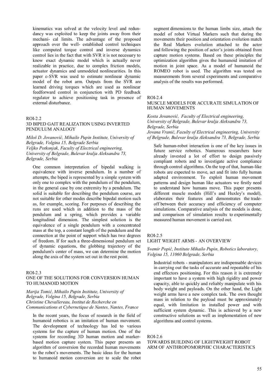kinematics was solved at the velocity level and redundancy was exploited to keep the joints away from their mechani- cal limits. The advantage of the proposed approach over the well- established control techniques like computed torque control and inverse dynamics control lies in the fact that with SVR it is not necessary to know exact dynamic model which is actually never realizable in practice, due to complex friction models, actuator dynamics and unmodeled nonlinearities. In this paper ε-SVR was used to estimate nonlinear dynamic model of the robot arm. Outputs from the SVR are learned driving torques which are used as nonlinear feedforward control in conjunction with PD feedback regulator to achieve positioning task in presence of external disturbance.

#### ROI-2.2

#### 3D BIPED GAIT REALIZATION USING INVERTED PENDULUM ANALOGY

*Miloš D. Jovanović, Mihailo Pupin Institute, University of Belgrade, Volgina 15, Belgrade Serbia Veljko Potkonjak, Faculty of Electrical engineering, University of Belgrade, Bulevar kralja Aleksandra 73, Belgrade, Serbia* 

One common interpretation of bipedal walking is equivalence with inverse pendulum. In a number of attempts, the biped is represented by a simple system with only one to complex with the pendulum of the pendulum, in the general case by one extremity by a pendulum. The solid is suitable for describing the pendulum course, are not suitable for other modes describe bipedal motion such as, for example, scoring. For purposes of describing the runs are used which in addition to the mass of the pendulum and a spring, which provides a variable longitudinal dimension. The simplest solution is the equivalence of a single pendulum with a concentrated mass at the top, a constant length of the pendulum and the connection at the point of support which has two degrees of freedom. If for such a three-dimensional pendulum set of dynamic equations, the globbing trajectory of the pendulum's center of mass, we can determine the motion along the axis of the system set out in the rest point.

#### ROI-2.3

# ONE OF THE SOLUTIONS FOR CONVERSION HUMAN TO HUMANOID MOTION

*Marija Tomić, Mihailo Pupin Institute, University of Belgrade, Volgina 15, Belgrade, Serbia Christine Chevallereau, Institut de Recherche en Communications et Cybernetique de Nantes, Nantes, France* 

In the recent years, the focus of research in the field of humanoid robotics is an imitation of human movement. The development of technology has led to various systems for the capture of human motion. One of the systems for recording 3D human motion and markerbased motion capture system. This paper presents an algorithm of conversion the recorded human movements to the robot's movements. The basic ideas for the human to humanoid motion conversion are to scale the robot segment dimensions to the human limbs size, attach the model of robot Virtual Markers such that during the movements their position and orientation evolution match the Real Markers evolution attached to the actor and following the position of actor's joints obtained from capture motion systems. Based on these principles the optimization algorithm gives the humanoid imitation of motion in joint space. As a model of humanoid the ROMEO robot is used. The algorithm was tested on measurements from several experiments and comparative analysis of the results was performed.

#### ROI-2.4

### MUSCLE MODELS FOR ACCURATE SIMULATION OF HUMAN MOVEMENTS

*Kosta Jovanović, Faculty of Electrical engineering, University of Belgrade, Bulevar kralja Aleksandra 73, Belgrade, Serbia* 

*Jovana Vranić, Faculty of Electrical engineering, University of Belgrade, Bulevar kralja Aleksandra 73, Belgrade, Serbia* 

Safe human-robot interaction is one of the key issues in future service robotics. Numerous researchers have already invested a lot of effort to design passively compliant robots and to investigate active compliance through control algorithms. On the top of that, human-like robots are expected to move, act and fit into fully human adapted environment. To exploit human movement patterns and design human like actuators we firstly need to understand how humans move. This paper presents different muscle models (Hill's and Huxley's model), elaborates their features and demonstrates the tradeoff between their accuracy and efficiency of computer simulations. Comparative analysis of the models is done, and comparison of simulation results to experimentally measured human movement is carried out.

# ROI-2.5

# LIGHT WEIGHT ARMS - AN OVERVIEW

#### *Svemir Popić, Institute Mihailo Pupin, Robotics laboratory, Volgina 15, 11060 Belgrade, Serbia*

Industrial robots - manipulators are indispensable devices in carrying out the tasks of accurate and repeatable of his end effectors positioning. For this reason it is extremely important to have a system with high rigidity and power capacity, able to quickly and reliably manipulate with his body weight and payloads. On the other hand, the Light weight arms have a new complex task. The own thought mass in relation to the payload must be approximately equal, with limitation in installed power and with sufficient system dynamic. This is achieved by a new constructive solutions as well as implementation of new algorithms and control systems.

#### ROI-2.6

# TOWARDS BUILDING OF LIGHTWEIGHT ROBOT ARM OF ANTHROPOMORPHIC CHARACTERISTICS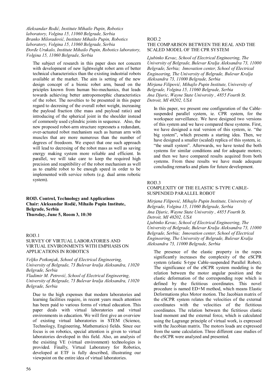*Aleksandar Rodić, Institute Mihailo Pupin, Robotics laboratory, Volgina 15, 11060 Belgrade, Serbia Branko Miloradović, Institute Mihailo Pupin, Robotics laboratory, Volgina 15, 11060 Belgrade, Serbia Đorđe Urukalo, Institute Mihailo Pupin, Robotics laboratory, Volgina 15, 11060 Belgrade, Serbia* 

The subject of research in this paper does not concern with development of new lightweight robot arm of better technical characteristics than the existing industrial robots available at the market. The aim is setting of the new design concept of a bionic robot arm, based on the priciples known from human bio-mechanics, that leads towards achieving better antropomorphic characteristics of the robot. The novelties to be presented in this paper regard to decresing of the overall robot weight, increasing the payload fraction (the mass and payload ratio) and introducing of the spherical joint in the shoulder instead of commonly used cylindric joints in sequence. Also, the new proposed robot-arm structure represnets a redundant, over-actuated robot mechanism such as human arm with muscles that are more numerous than the number of degrees of freedoom. We expect that one such approach will lead to decresing of the robot mass as well as saving energy making system more reliable and efficient. In parallel, we will take care to keep the required high precision and reapitibility of the robot mechanism as well as to enable robot to be enough speed in order to be implemented with service robots (e.g. dual arms robotic system).

# **ROI3. Control, Technology and Applications Chair: Aleksandar Rodić, Mihailo Pupin Institute, Belgrade, Serbia Thursday, June 5, Room 3, 10:30**

# ROI3.1

# SURVEY OF VIRTUAL LABORATORIES AND VIRTUAL ENVIRONMENTS WITH EMPHASIS ON APPLICATIONS IN ROBOTICS

*Veljko Potkonjak, School of Electrical Engineering, University of Belgrade, 73 Bulevar kralja Aleksandra, 11020 Belgrade, Serbia* 

*Vladimir M. Petrović, School of Electrical Engineering, University of Belgrade, 73 Bulevar kralja Aleksandra, 11020 Belgrade, Serbia* 

Due to the high expenses that modern laboratories and learning facilities require, in recent years much attention has been paid to various forms of virtual education. This paper deals with virtual laboratories and virtual environments in education. We will first give an overview of existing virtual laboratories in STEM (Science, Technology, Engineering, Mathematics) fields. Since our focus is on robotics, special attention is given to virtual laboratories developed in this field. Also, an analysis of the exisiting VE (virtual environment) technologies is provided. Finally, Virtual Laboratory for Robotics, developed at ETF is fully described, illustrating our viewpoint on the entire idea of virtual laboratories.

#### ROI3.2

# THE COMPARISON BETWEEN THE REAL AND THE SCALED MODEL OF THE CPR SYSTEM

*Ljubinko Kevac, School of Electrical Engineering, The University of Belgrade, Bulevar Kralja Aleksandra 73, 11000 Belgrade, Serbia; Innovation center, School of Electrical Engineering, The University of Belgrade, Bulevar Kralja Aleksandra 73, 11000 Belgrade, Serbia Mirjana Filipović, Mihajlo Pupin Institute, University of Belgrade, Volgina 15, 11060 Belgrade, Serbia Ana Djuric, Wayne State University , 4855 Fourth St. Detroit, MI 48202, USA* 

In this paper, we present one configuration of the Cablesuspended parallel system, ie. CPR system, for the workspace surveillance. We have designed two versions of this system and we have compared these systems. First, we have designed a real version of this system, ie. "the big system", which presents a starting idea. Then, we have designed a smaller (scaled) replica of this system, ie. "the small system". Afterwards, we have tested the both systems for similar conditions and for adequate motors; and then we have compared results acquired from both systems. From these results we have made adequate concluding remarks and plans for future development.

#### ROI3.3

### COMPLEXITY OF THE ELASTIC S-TYPE CABLE-SUSPENDED PARALLEL ROBOT

*Mirjana Filipović, Mihajlo Pupin Institute, University of Belgrade, Volgina 15, 11060 Belgrade, Serbia Ana Djuric, Wayne State University , 4855 Fourth St. Detroit, MI 48202, USA Ljubinko Kevac, School of Electrical Engineering, The* 

*University of Belgrade, Bulevar Kralja Aleksandra 73, 11000 Belgrade, Serbia; Innovation center, School of Electrical Engineering, The University of Belgrade, Bulevar Kralja Aleksandra 73, 11000 Belgrade, Serbia* 

The presence of the elastic property in the ropes significantly increases the complexity of the eSCPR system (elastic S-type Cable-suspended Parallel Robot). The significance of the eSCPR system modeling is the relation between the motor angular position and the elastic deformation of the corresponding rope which is defined by the fictitious coordinates. This novel procedure is named ED+M method, which means Elastic Deformations plus Motor motion. The Jacobian matrix of the eSCPR system relates the velocities of the external coordinates with the velocities of the fictitious coordinates. The relation between the fictitious elastic load moment and the external force, which is calculated using the Lagrange principle of virtual work, is expressed with the Jacobian matrix. The motors loads are expressed from the same calculation. Three different case studies of the eSCPR were analyzed and presented.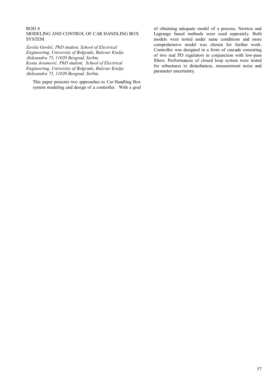#### ROI3.4 MODELING AND CONTROL OF CAR HANDLING BOX **SYSTEM**

*Zaviša Gordić, PhD student, School of Electrical Engineering, University of Belgrade, Bulevar Kralja Aleksandra 73, 11020 Beograd, Serbia Kosta Jovanović, PhD student, School of Electrical Engineering, University of Belgrade, Bulevar Kralja Aleksandra 73, 11020 Beograd, Serbia* 

This paper presents two approaches to Car Handling Box system modeling and design of a controller. With a goal of obtaining adequate model of a process, Newton and Lagrange based methods were used separately. Both models were tested under same conditions and more comprehensive model was chosen for further work. Controller was designed in a form of cascade consisting of two real PD regulators in conjunction with low-pass filters. Performances of closed loop system were tested for robustness to disturbances, measurement noise and parameter uncertainty.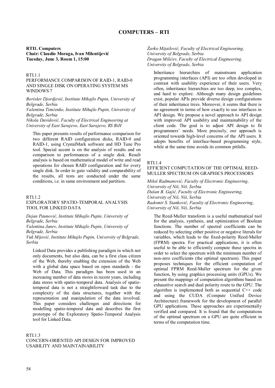**RTI1. Computers Chair: Claudio Moraga, Ivan Milentijević Tuesday, June 3, Room 1, 15:00** 

#### RTI.1.1

PERFORMANCE COMPARISON OF RAID-1, RAID-0 AND SINGLE DISK ON OPERATING SYSTEM MS WINDOWS 7

*Borislav Djordjević, Institute Mihajlo Pupin, University of Belgrade, Serbia Valentina Timčenko, Institute Mihajlo Pupin, University of Belgrade, Serbia Nikola Davidović, Faculty of Electrical Engineering at* 

*University of East Sarajevo, East Sarajevo, RS BiH* 

This paper presents results of performance comparison for two different RAID configuration disks, RAID-0 and RAID-1, using CrystalMark software and HD Tune Pro tool. Special accent is on the analysis of results and on comparison to performances of a single disk. Result analysis is based on mathematical model of write and read operations for chosen RAID configuration and for every single disk. In order to gain validity and comparability of the results, all tests are conducted under the same conditions, i.e. in same environment and partition.

#### RTI<sub>12</sub>

# EXPLORATORY SPATIO-TEMPORAL ANALYSIS TOOL FOR LINKED DATA

*Dejan Paunović, Institute Mihajlo Pupin, University of Belgrade, Serbia* 

*Valentina Janev, Institute Mihajlo Pupin, University of Belgrade, Serbia* 

*Vuk Mijović, Institute Mihajlo Pupin, University of Belgrade, Serbia* 

Linked Data provides a publishing paradigm in which not only documents, but also data, can be a first class citizen of the Web, thereby enabling the extension of the Web with a global data space based on open standards - the Web of Data. This paradigm has been used in an increasing number of data stores in recent years, including data stores with spatio-temporal data. Analysis of spatiotemporal data is not a straightforward task due to the complexity of the data structures, together with the representation and manipulation of the data involved. This paper considers challenges and directions for modelling spatio-temporal data and describes the first prototype of the Exploratory Spatio-Temporal Analysis tool for Linked Data.

# RTI.1.3

CONCERN-ORIENTED API DESIGN FOR IMPROVED USABILITY AND MAINTAINABILITY

*Žarko Mijailović, Faculty of Electrical Engineering, University of Belgrade, Serbia Dragan Milićev, Faculty of Electrical Engineering, University of Belgrade, Serbia* 

Inheritance hierarchies of mainstream application programming interfaces (API) are too often developed in contrast with usability experience of their users. Very often, inheritance hierarchies are too deep, too complex, and hard to explore. Although many design guidelines exist, popular APIs provide diverse design configurations of their inheritance trees. Moreover, it seems that there is no agreement in terms of how exactly to use interfaces in API design. We propose a novel approach to API design with improved API usability and maintainability of the client code. The goal is to adjust API design to fit programmers' needs. More precisely, our approach is oriented towards high-level concerns of the API users. It adopts benefits of interface-based programming style, while at the same time avoids its common pitfalls.

#### RTI.1.4

EFFICIENT COMPUTATION OF THE OPTIMAL REED-MULLER SPECTRUM ON GRAPHICS PROCESSORS

*Miloš Radmanović, Faculty of Electronic Engineering, University of Niš, Niš, Serbia Dušan B. Gajić, Faculty of Electronic Engineering, University of Niš, Niš, Serbia Radomir S. Stanković, Faculty of Electronic Engineering, University of Niš, Niš, Serbia* 

The Reed-Muller transform is a useful mathematical tool for the analysis, synthesis, and optimization of Boolean functions. The number of spectral coefficients can be reduced by selecting either positive or negative literals for variables, which leads to the fixed-polarity Reed-Muller (FPRM) spectra. For practical applications, it is often useful to be able to efficiently compute these spectra in order to select the spectrum with the minimum number of non-zero coefficients (the optimal spectrum). This paper proposes techniques for the efficient computation of optimal FPRM Reed-Muller spectrum for the given function, by using graphics processing units (GPUs). We present the mappings of computation algorithms based on exhaustive search and dual polarity route to the GPU. The algorithm is implemented both as sequential C++ code and using the CUDA (Compute Unified Device Architecture) framework for the development of parallel GPU applications. These approaches are experimentally verified and compared. It is found that the computations of the optimal spectrum on a GPU are quite efficient in terms of the computation time.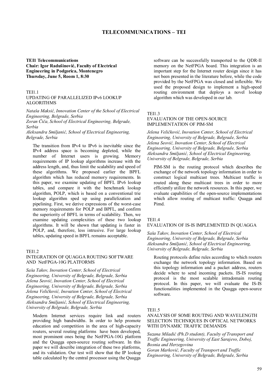# **TELECOMMUNICATIONS – TEI**

**ТЕI1 Telecommunications Chair: Igor Radušinović, Faculty of Electrical Engineering in Podgorica, Montenegro Thursday, June 5, Room 1, 8:30** 

### TEI1.1

#### UPDATING OF PARALLELIZED IPv6 LOOKUP ALGORITHMS

*Nataša Maksić, Innovation Center of the School of Electrical Engineering, Belgrade, Serbia* 

*Zoran Čiča, School of Electrical Engineering, Belgrade, Serbia* 

*Aleksandra Smiljanić, School of Electrical Engineering, Belgrade, Serbia* 

The transition from IPv4 to IPv6 is inevitable since the IPv4 address space is becoming depleted, while the number of Internet users is growing. Memory requirements of IP lookup algorithms increase with the address length, and, thus limit the scalability and speed of these algorithms. We proposed earlier the BPFL algorithm which has reduced memory requirements. In this paper, we examine updating of BPFL IPv6 lookup tables, and compare it with the benchmark lookup algorithm, POLP, which is based on a conventional trie lookup algorithm sped up using parallelization and pipelining. First, we derive expressions of the worst-case memory requirements for POLP and BPFL, and confirm the superiority of BPFL in terms of scalability. Then, we examine updating complexities of these two lookup algorithms. It will be shown that updating is faster in POLP, and, therefore, less intrusive. For large lookup tables, updating speed in BPFL remains acceptable.

#### **TEI1.2**

#### INTEGRATION OF QUAGGA ROUTING SOFTWARE AND NetFPGA-10G PLATFORMS

*Saša Takov, Inovation Center, School of Electrical Engineering, University of Belgrade, Belgrade, Serbia Jelena Seović, Inovation Center, School of Electrical Engineering, University of Belgrade, Belgrade, Serbia Jelena Veličković, Inovation Center, School of Electrical Engineering, University of Belgrade, Belgrade, Serbia Aleksandra Smiljanić, School of Electrical Engineering, University of Belgrade, Belgrade, Serbia* 

Modern Internet services require link and routers providing high bandwidths. In order to help promote education and competition in the area of high-capacity routers, several routing platforms have been developed, most prominent ones being the NetFPGA-10G platform and the Quagga open-source routing software. In this paper we will describe integration of these two platforms, and its validation. Our test will show that the IP lookup table calculated by the central processor using the Quagga

software can be successfully transported to the QDR-II memory on the NetFPGA board. This integration is an important step for the Internet router design since it has not been presented in the literature before, while the code provided by the NetFPGA was closed and inflexible. We used the proposed design to implement a high-speed routing environment that deploys a novel lookup algorithm which was developed in our lab.

# TEI1.3

#### EVALUATION OF THE OPEN-SOURCE IMPLEMENTATION OF PIM-SM

*Jelena Veličković, Inovation Center, School of Electrical Engineering, University of Belgrade, Belgrade, Serbia Jelena Seović, Inovation Center, School of Electrical Engineering, University of Belgrade, Belgrade, Serbia Aleksandra Smiljanić, School of Electrical Engineering, University of Belgrade, Belgrade, Serbia* 

PIM-SM is the routing protocol which describes the exchange of the network topology information in order to construct logical multicast trees. Multicast traffic is routed along these multicast trees in order to more efficiently utilize the network resources. In this paper, we evaluate capabilities of the open-source implementations which allow routing of multicast traffic: Quagga and Pimd.

#### TEI1.4

#### EVALUATION OF IS-IS IMPLEMENTED IN QUAGGA

*Saša Takov, Inovation Center, School of Electrical Engineering, University of Belgrade, Belgrade, Serbia Aleksandra Smiljanić, School of Electrical Engineering, University of Belgrade, Belgrade, Serbia* 

Routing protocols define rules according to which routers exchange the network topology information. Based on this topology information and a packet address, routers decide where to send incoming packets. IS-IS routing protocol is the most scalable intradomain routing protocol. In this paper, we will evaluate the IS-IS functionalities implemented in the Quagga open-source software.

#### TEI1.5

#### ANALYSIS OF SOME ROUTING AND WAVELENGTH SELECTION TECHNIQUES IN OPTICAL NETWORKS WITH DYNAMIC TRAFFIC DEMANDS

*Suzana Miladić (Ph.D student), Faculty of Transport and Traffic Engineering, University of East Sarajevo, Doboj, Bosnia and Herzegovina Goran Marković, Faculty of Transport and Traffic Engineering, University of Belgrade, Belgrade, Serbia*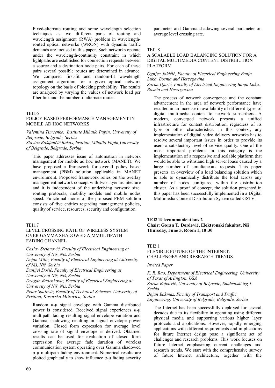Fixed-alternate routing and some wavelength selection techniques as two different parts of routing and wavelength assignment (RWA) problem in wavelengthrouted optical networks (WRON) with dynamic traffic demands are focused in this paper. Such networks operate under the wavelength-continuity constraint in which lightpaths are established for connection requests between a source and a destination node pairs. For each of these pairs several possible routes are determined in advance. We compared first-fit and random-fit wavelength assignment algorithm for a given optical network topology on the basis of blocking probability. The results are analyzed by varying the values of network load per fiber link and the number of alternate routes.

#### TEI1.6

#### POLICY BASED PERFORMANCE MANAGEMENT IN MOBILE AD HOC NETWORKS

*Valentina Timčenko, Institute Mihailo Pupin, University of Belgrade, Belgrade, Serbia Slavica Boštjančič Rakas, Institute Mihailo Pupin,University of Belgrade, Belgrade, Serbia* 

This paper addresses issue of automation in network management for mobile ad hoc network (MANET). We have proposed a framework for overall policy based management (PBM) solution applicable in MANET environment. Proposed framework relies on the overlay management network concept with two-layer architecture and it is independent of the underlying network size, routing protocols, mobility models and mobile nodes speed. Functional model of the proposed PBM solution consists of five entities regarding management policies, quality of service, resources, security and configuration

#### TEI1.7

#### LEVEL CROSSING RATE OF WIRELESS SYSTEM OVER GAMMA SHADOWED Α-ΜMULTIPATH FADING CHANNEL

*Časlav Stefanović, Faculty of Electrical Engineering at University of Niš, Niš, Serbia* 

*Dejan Milić, Faculty of Electrical Engineering at University of Niš, Niš, Serbia* 

*Danijel Đošić, Faculty of Electrical Engineering at University of Niš, Niš, Serbia* 

*Dragan Radenković, Faculty of Electrical Engineering at University of Niš, Niš, Serbia* 

*Petar Spalević, Faculty of Technical Sciences, University of Priština, Kosovska Mitrovica, Serbia* 

Random α-μ signal envelope with Gamma distributed power is considered. Received signal experiences α-μ multipath fading resulting signal envelope variation and Gamma shadowing resulting in signal envelope power variation. Closed form expression for average level crossing rate of signal envelope is derived. Obtained results can be used for evaluation of closed form expression for average fade duration of wireless communication system operating over Gamma shadowed α-μ multipath fading environment. Numerical results are plotted graphically to show influence  $α$ -μ fading severity parameter and Gamma shadowing several parameter on average level crossing rate.

#### TEI1.8

#### A SCALABLE LOAD BALANCING SOLUTION FOR A DIGITAL MULTIMEDIA CONTENT DISTRIBUTION PLATFORM

# *Ognjen Joldžić, Faculty of Electrical Engineering Banja Luka, Bosnia and Herzegovina*

# *Zoran Djurić, Faculty of Electrical Engineering Banja Luka, Bosnia and Herzegovina*

The process of network convergence and the constant advancement in the area of network performance have resulted in an increase in availability of different types of digital multimedia content to network subscribers. A modern, converged network presents a unified infrastructure for content distribution, regardless of its type or other characteristics. In this context, any implementation of digital video delivery networks has to resolve several important issues in order to provide its users a satisfactory level of service quality. One of the most important problems in this category is the implementation of a responsive and scalable platform that would be able to withstand high server loads caused by a large number of simultaneous requests. This paper presents an overview of a load balancing solution which is able to dynamically distribute the load across any number of nodes configured within the distribution cluster. As a proof of concept, the solution presented in this paper has been successfully implemented in a Digital Multimedia Content Distribution System called GSTV.

**ТЕI2 Telecommunications 2 Chair: Goran T. Đorđević, Elektronski fakultet, Niš Thursday, June 5, Room 1, 10:30** 

#### TEI2.1

# FLEXIBLE FUTURE OF THE INTERNET: CHALLENGES AND RESEARCH TRENDS

#### *Invited Paper*

*K. R. Rao, Department of Electrical Engineering, University of Texas of Arlington, USA Zoran Bojković, University of Belgrade, Studentski trg 1, Serbia* 

*Bojan Bakmaz, Faculty of Transport and Traffic Engineering, University of Belgrade, Belgrade, Serbia* 

The Internet has been successfully deployed for several decades due to its flexibility in operating using different physical media and supporting various higher layer protocols and applications. However, rapidly emerging applications with different requirements and implications for future Internet design pose a significant set of challenges and research problems. This work focuses on future Internet emphasizing current challenges and research trends. We start with the comprehensive survey of future Internet architecture, together with the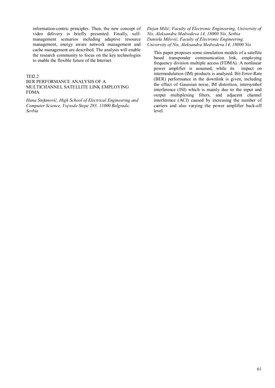information-centric principles. Then, the new concept of video delivery is briefly presented. Finally, selfmanagement scenarios including adaptive resource management, energy aware network management and cache management are described. The analysis will enable the research community to focus on the key technologies to enable the flexible future of the Internet.

#### TEI2.2

#### BER PERFORMANCE ANALYSIS OF A MULTICHANNEL SATELLITE LINK EMPLOYING FDMA

*Hana Stefanović, High School of Electrical Engineering and Computer Science, Vojvode Stepe 283, 11000 Belgrade, Serbia* 

*Dejan Milić, Faculty of Electronic Engineering, University of Nis, Aleksandra Medvedeva 14, 18000 Nis, Serbia Daniela Milović, Faculty of Electronic Engineering, University of Nis, Aleksandra Medvedeva 14, 18000 Nis* 

This paper proposes some simulation models of a satellite based transponder communication link, employing frequency division multiple access (FDMA). A nonlinear power amplifier is assumed, while its impact on intermodulation (IM) products is analyzed. Bit-Error-Rate (BER) performance in the downlink is given, including the effect of Gaussian noise, IM distortion, intersymbol interference (ISI) which is mainly due to the input and output multiplexing filters, and adjacent channel interference (ACI) caused by increasing the number of carriers and also varying the power amplifier back-off level.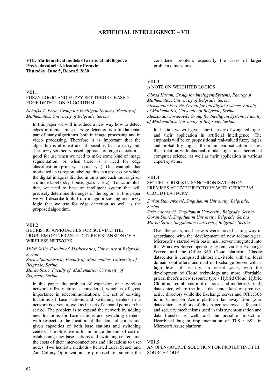# **ARTIFICIAL INTELLIGENCE – VII**

# **VII1. Mathematical models of artificial intelligence Predsedavajući: Aleksandar Perović Thursday, June 5, Room 5, 8:30**

# VII1.1

# FUZZY LOGIC AND FUZZY SET THEORY BASED EDGE DETECTION ALGORITHM

#### *Nebojša T. Perić, Group for Intelligent Systems, Faculty of Mathematics, University of Belgrade, Serbia*

In this paper we will introduce a new way how to detect edges in digital images. Edge detection is a fundamental part of many algorithms, both in image processing and in video processing. Therefore it is important that the algorithm is efficient and, if possible, fast to carry out. The fuzzy set theory based approach on edge detection is good for use when we need to make some kind of image segmentation, or when there is a need for edge classification (primary, secondary...). One example that motivated us is region labeling; this is a process by which the digital image is divided in units and each unit is given a unique label ( sky, house, grass … etc). To accomplish that, we need to have an intelligent system that will precisely determine the edges of the region. In this paper we will describe tools from image processing and fuzzy logic that we use for edge detection as well as the proposed algorithm.

#### VII1.2

#### HEURISTIC APPROACHES FOR SOLVING THE PROBLEM OF INFRASTRUCTURE EXPANSION OF A WIRELESS NETWORK

*Miloš Šošić, Faculty of Mathematics, University of Belgrade, Serbia* 

*Zorica Stanimirović, Faculty of Mathematics, University of Belgrade, Serbia* 

*Marko Šošić, Faculty of Mathematics, University of Belgrade, Serbia* 

In this paper, the problem of expansion of a wireless network infrastructure is considered, which is of great importance in telecommunications. The set of existing locations of base stations and switching centers in a network is given, as well as the set of demand points to be served. The problem is to expand the network by adding new locations for base stations and switching centers, with respect to the location of the demand points and given capacities of both base stations and switching centers. The objective is to minimize the sum of cost of establishing new base stations and switching centers and the costs of their inter-connections and allocations to user nodes. Two heuristic methods - Iterated Local Search and Ant Colony Optimization are proposed for solving the considered problem, especially the cases of larger problem dimensions.

#### VII1.3 A NOTE ON WEIGHTED LOGICS

*Obrad Kasum, Group for Intelligent Systems, Faculty of Mathematics, University of Belgrade, Serbia Aleksandar Perović, Group for Intelligent Systems, Faculty of Mathematics, University of Belgrade, Serbia Aleksandar Jovanović, Group for Intelligent Systems, Faculty of Mathematics, University of Belgrade, Serbia* 

In this talk we will give a short survey of weighted logics and their application in artificial intelligence. The emphasis will be on propositional real-valued fuzzy logics and probability logics, the main axiomatization issues, their relation with classical, modal logics and theoretical computer science, as well as their application in various expert systems.

#### VII1.4

#### SECURITY RISKS IN SYNCHRONIZATION ON-PREMISES ACTIVE DIRECTORY WITH OFFICE 365 CLOUD PLATFORM

# *Dušan Stamenković, Singidunum University, Belgrade, Serbia*

*Saša Adamović, Singidunum University, Belgrade, Serbia Goran Šimić, Singidunum University, Belgrade, Serbia Marko Šarac, Singidunum University, Belgrade, Serbia* 

Over the years, mail servers were moved a long way in accordance with the development of new technologies. Microsoft's started with basic mail server integrated into the Windows Server operating system via the Exchange Server until the Office 365 Cloud platform. Classic datacenter is comprised almost inevitable with the local domain controller's and mail or Exchange Server with a high level of security. In recent years, with the development of Cloud technology and more affordable prices, there's a new resource type - Hybrid Cloud. Hybrid Cloud is a combination of classical and modern (virtual) datacenter, where the local datacenter kept on-premises active directory while the Exchange server and Office365 is in Cloud on Azure platform far away from your datacenter. Authors of this paper reviewed safeguards and security mechanisms used in this synchronization and data transfer as well, and the possible impact of Heartbleed bug in implementation of TLS / SSL in Microsoft Azure platform.

#### VII1.5

AN OPEN-SOURCE SOLUTION FOR PROTECTING PHP SOURCE CODE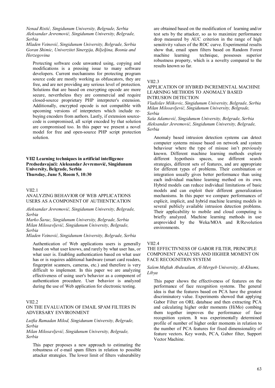*Nenad Ristić, Singidunum University, Belgrade, Serbia Aleksandar Jevremović, Singidunum University, Belgrade, Serbia* 

*Mladen Veinović, Singidunum University, Belgrade, Serbia Goran Shimic, Univerzitet Sinergija, Biljeljina, Bosnia and Herzegovina* 

Protecting software code unwanted using, copying and modifications is a pressing issue to many software developers. Current mechanisms for protecting program source code are mostly working as obfuscators, they are free, and are not providing any serious level of protection. Solutions that are based on encrypting opcode are more secure, nevertheless they are commercial and require closed-source proprietary PHP interpreter's extension. Additionally, encrypted opcode is not compatible with upcoming versions of interpreters which include rebuying encoders from authors. Lastly, if extension sourcecode is compromised, all script encoded by that solution are compromised too. In this paper we present a novel model for free and open-source PHP script protection solution.

**VII2 Learning techniques in artificial intelligence Predsedavajući: Aleksandar Jevremović, Singidunum University, Belgrade, Serbia Thursday, June 5, Room 5, 10:30** 

#### VII2.1

### ANALYZING BEHAVIOR OF WEB APPLICATIONS USERS AS A COMPONENT OF AUTHENTICATION

*Aleksandar Jevremović, Singidunum University, Belgrade, Serbia* 

*Marko Šarac, Singidunum University, Belgrade, Serbia Milan Milosavljević, Singidunum University, Belgrade, Serbia* 

*Mladen Veinović, Singidunum University, Belgrade, Serbia* 

Authentication of Web applications users is generally based on what user knows, and rarely by what user has, or what user is. Enabling authentication based on what user has or is requires additional hardware (smart card readers, fingerprint scanners, cameras, etc.) and therefore is very difficult to implement. In this paper we are analyzing effectiveness of using user's behavior as a component of authentication procedure. User behavior is analyzed during the use of Web application for electronic testing.

#### VII2.2

# ON THE EVALUATION OF EMAIL SPAM FILTERS IN ADVERSARY ENVIRONMENT

#### *Lutfia Ramadan Milod, Singidunum University, Belgrade, Serbia*

*Milan Milosavljević, Singidunum University, Belgrade, Serbia* 

This paper proposes a new approach to estimating the robustness of e-mail spam filters in relation to possible attacker strategies. The lower limit of filters vulnerability are obtained based on the modification of learning and/or test sets by the attacker, so as to maximize performance drop measured by AUC criterion in the range of high sensitivity values of the ROC curve. Experimental results show that, email spam filters based on Random Forest machine learning technique, possesses superior robustness property, which is a novelty compared to the results known so far.

#### VII2.3

#### APPLICATION OF HYBRID INCREMENTAL MACHINE LEARNING METHODS TO ANOMALY BASED INTRUSION DETECTION

*Vladislav Miškovic, Singidunum University, Belgrade, Serbia Milan Milosavljević, Singidunum University, Belgrade, Serbia* 

*Saša Adamović, Singidunum University, Belgrade, Serbia Aleksandar Jevremović, Singidunum University, Belgrade, Serbia* 

Anomaly based intrusion detection systems can detect computer systems misuse based on network and system behaviour where the type of misuse isn't previously known. Different machine learning methods explore different hypothesis spaces, use different search strategies, different sets of features, and are appropriate for different types of problems. Their combination or integration usually gives better performance than using each individual machine learning method on its own. Hybrid models can reduce individual limitations of basic models and can exploit their different generalization mechanisms. In this paper we compare performances of explicit, implicit, and hybrid machine learning models in several publicly available intrusion detection problems. Their applicability to mobile and cloud computing is briefly analyzed. Machine learning methods in use areprovided by the Weka/MOA and R/Revolution environments.

# VII2.4

# THE EFFECTIVNESS OF GABOR FILTER, PRINCIPLE COMPONENT ANALYSIS AND HIGHER MOMENT ON FACE RECOGNITION SYSTEM

#### *Salem Muftah Abdusalam, Al-Mergeb University, Al-Khums, Libya*

This paper shows the effectiveness of features on the performance of face recognition systems. The general idea is that the features based on PCA have the greatest discriminatory value. Experiments showed that applying Gabor Filter on ORL database and then extracting PCA and calculating higher order moments (HiMo) combing them together improves the performance of face recognition system. It was experimentally determined profile of number of higher order moments in relation to the number of PCA features for fixed dimensionality of feature vectors. Key words, PCA, Gabor filter, Support Vector Machine.